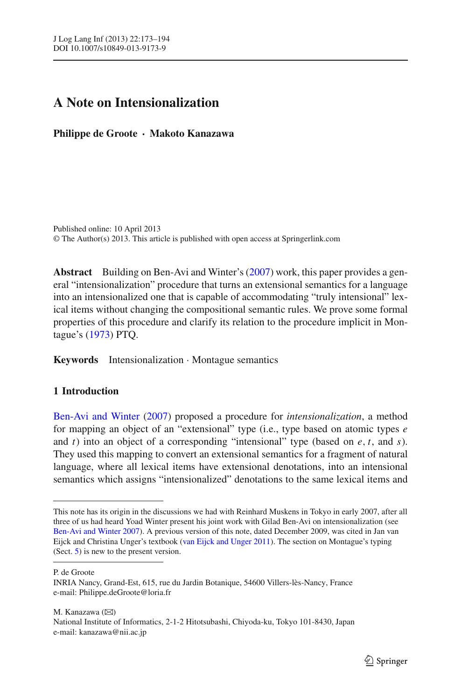# **A Note on Intensionalization**

**Philippe de Groote · Makoto Kanazawa**

Published online: 10 April 2013 © The Author(s) 2013. This article is published with open access at Springerlink.com

**Abstract** Building on Ben-Avi and Winter's [\(2007\)](#page-21-0) work, this paper provides a general "intensionalization" procedure that turns an extensional semantics for a language into an intensionalized one that is capable of accommodating "truly intensional" lexical items without changing the compositional semantic rules. We prove some formal properties of this procedure and clarify its relation to the procedure implicit in Montague's [\(1973\)](#page-21-1) PTQ.

**Keywords** Intensionalization · Montague semantics

# **1 Introduction**

Ben-Avi and Winter [\(2007\)](#page-21-0) proposed a procedure for *intensionalization*, a method for mapping an object of an "extensional" type (i.e., type based on atomic types *e* and *t*) into an object of a corresponding "intensional" type (based on *e*, *t*, and *s*). They used this mapping to convert an extensional semantics for a fragment of natural language, where all lexical items have extensional denotations, into an intensional semantics which assigns "intensionalized" denotations to the same lexical items and

P. de Groote

M. Kanazawa  $(\boxtimes)$ National Institute of Informatics, 2-1-2 Hitotsubashi, Chiyoda-ku, Tokyo 101-8430, Japan e-mail: kanazawa@nii.ac.jp

This note has its origin in the discussions we had with Reinhard Muskens in Tokyo in early 2007, after all three of us had heard Yoad Winter present his joint work with Gilad Ben-Avi on intensionalization (see [Ben-Avi and Winter 2007\)](#page-21-0). A previous version of this note, dated December 2009, was cited in Jan van Eijck and Christina Unger's textbook [\(van Eijck and Unger 2011](#page-21-2)). The section on Montague's typing (Sect. [5\)](#page-16-0) is new to the present version.

INRIA Nancy, Grand-Est, 615, rue du Jardin Botanique, 54600 Villers-lès-Nancy, France e-mail: Philippe.deGroote@loria.fr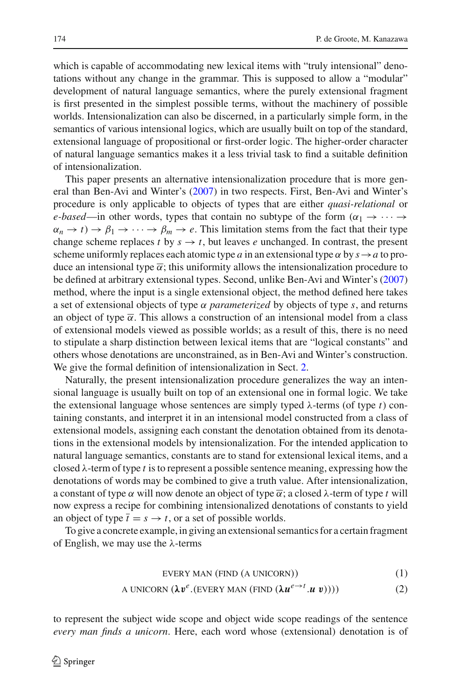which is capable of accommodating new lexical items with "truly intensional" denotations without any change in the grammar. This is supposed to allow a "modular" development of natural language semantics, where the purely extensional fragment is first presented in the simplest possible terms, without the machinery of possible worlds. Intensionalization can also be discerned, in a particularly simple form, in the semantics of various intensional logics, which are usually built on top of the standard, extensional language of propositional or first-order logic. The higher-order character of natural language semantics makes it a less trivial task to find a suitable definition of intensionalization.

This paper presents an alternative intensionalization procedure that is more general than Ben-Avi and Winter's [\(2007](#page-21-0)) in two respects. First, Ben-Avi and Winter's procedure is only applicable to objects of types that are either *quasi-relational* or *e-based*—in other words, types that contain no subtype of the form  $(\alpha_1 \rightarrow \cdots \rightarrow$  $\alpha_n \to t$ )  $\to \beta_1 \to \cdots \to \beta_m \to e$ . This limitation stems from the fact that their type change scheme replaces *t* by  $s \rightarrow t$ , but leaves *e* unchanged. In contrast, the present scheme uniformly replaces each atomic type *a* in an extensional type  $\alpha$  by  $s \rightarrow a$  to produce an intensional type  $\bar{\alpha}$ ; this uniformity allows the intensionalization procedure to be defined at arbitrary extensional types. Second, unlike Ben-Avi and Winter's [\(2007\)](#page-21-0) method, where the input is a single extensional object, the method defined here takes a set of extensional objects of type  $\alpha$  *parameterized* by objects of type *s*, and returns an object of type  $\bar{\alpha}$ . This allows a construction of an intensional model from a class of extensional models viewed as possible worlds; as a result of this, there is no need to stipulate a sharp distinction between lexical items that are "logical constants" and others whose denotations are unconstrained, as in Ben-Avi and Winter's construction. We give the formal definition of intensionalization in Sect. [2.](#page-3-0)

Naturally, the present intensionalization procedure generalizes the way an intensional language is usually built on top of an extensional one in formal logic. We take the extensional language whose sentences are simply typed  $\lambda$ -terms (of type *t*) containing constants, and interpret it in an intensional model constructed from a class of extensional models, assigning each constant the denotation obtained from its denotations in the extensional models by intensionalization. For the intended application to natural language semantics, constants are to stand for extensional lexical items, and a closed λ-term of type *t* is to represent a possible sentence meaning, expressing how the denotations of words may be combined to give a truth value. After intensionalization, a constant of type  $\alpha$  will now denote an object of type  $\overline{\alpha}$ ; a closed  $\lambda$ -term of type t will now express a recipe for combining intensionalized denotations of constants to yield an object of type  $\bar{t} = s \rightarrow t$ , or a set of possible worlds.

<span id="page-1-0"></span>To give a concrete example, in giving an extensional semantics for a certain fragment of English, we may use the  $\lambda$ -terms

$$
EVERY MAN (FIND (A UNICORN))
$$
 (1)

A UNICORN 
$$
(\lambda v^e.(EVERY MAN (FIND  $(\lambda u^{e \rightarrow t}.u v))))$ ) (2)
$$

to represent the subject wide scope and object wide scope readings of the sentence *every man finds a unicorn*. Here, each word whose (extensional) denotation is of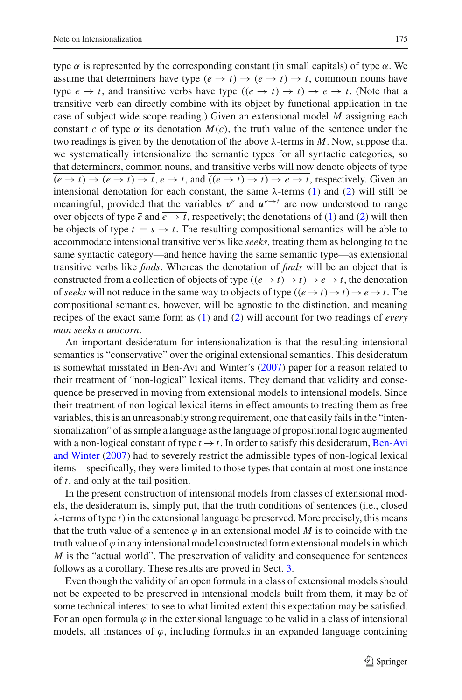*man seeks a unicorn*.

type  $\alpha$  is represented by the corresponding constant (in small capitals) of type  $\alpha$ . We assume that determiners have type  $(e \to t) \to (e \to t) \to t$ , commoun nouns have type  $e \rightarrow t$ , and transitive verbs have type  $((e \rightarrow t) \rightarrow t) \rightarrow e \rightarrow t$ . (Note that a transitive verb can directly combine with its object by functional application in the case of subject wide scope reading.) Given an extensional model *M* assigning each constant *c* of type  $\alpha$  its denotation  $M(c)$ , the truth value of the sentence under the two readings is given by the denotation of the above λ-terms in *M*. Now, suppose that we systematically intensionalize the semantic types for all syntactic categories, so that determiners, common nouns, and transitive verbs will now denote objects of type  $\overline{(e \rightarrow t) \rightarrow (e \rightarrow t) \rightarrow t}$ ,  $\overline{e \rightarrow t}$ , and  $\overline{((e \rightarrow t) \rightarrow t) \rightarrow e \rightarrow t}$ , respectively. Given an intensional denotation for each constant, the same  $\lambda$ -terms [\(1\)](#page-1-0) and [\(2\)](#page-1-0) will still be meaningful, provided that the variables  $v^e$  and  $u^{e\rightarrow t}$  are now understood to range over objects of type  $\bar{e}$  and  $\bar{e} \to \bar{t}$ , respectively; the denotations of [\(1\)](#page-1-0) and [\(2\)](#page-1-0) will then be objects of type  $\bar{t} = s \rightarrow t$ . The resulting compositional semantics will be able to accommodate intensional transitive verbs like *seeks*, treating them as belonging to the same syntactic category—and hence having the same semantic type—as extensional transitive verbs like *finds*. Whereas the denotation of *finds* will be an object that is constructed from a collection of objects of type  $((e \rightarrow t) \rightarrow t) \rightarrow e \rightarrow t$ , the denotation of *seeks* will not reduce in the same way to objects of type  $((e \rightarrow t) \rightarrow t) \rightarrow e \rightarrow t$ . The compositional semantics, however, will be agnostic to the distinction, and meaning recipes of the exact same form as [\(1\)](#page-1-0) and [\(2\)](#page-1-0) will account for two readings of *every*

An important desideratum for intensionalization is that the resulting intensional semantics is "conservative" over the original extensional semantics. This desideratum is somewhat misstated in Ben-Avi and Winter's [\(2007](#page-21-0)) paper for a reason related to their treatment of "non-logical" lexical items. They demand that validity and consequence be preserved in moving from extensional models to intensional models. Since their treatment of non-logical lexical items in effect amounts to treating them as free variables, this is an unreasonably strong requirement, one that easily fails in the "intensionalization" of as simple a language as the language of propositional logic augmented with a non-logical constant of type  $t \rightarrow t$ [.](#page-21-0) [In](#page-21-0) [order](#page-21-0) [to](#page-21-0) [satisfy](#page-21-0) [this](#page-21-0) [desideratum,](#page-21-0) Ben-Avi and Winter [\(2007\)](#page-21-0) had to severely restrict the admissible types of non-logical lexical items—specifically, they were limited to those types that contain at most one instance of *t*, and only at the tail position.

In the present construction of intensional models from classes of extensional models, the desideratum is, simply put, that the truth conditions of sentences (i.e., closed λ-terms of type *t*) in the extensional language be preserved. More precisely, this means that the truth value of a sentence  $\varphi$  in an extensional model *M* is to coincide with the truth value of  $\varphi$  in any intensional model constructed form extensional models in which *M* is the "actual world". The preservation of validity and consequence for sentences follows as a corollary. These results are proved in Sect. [3.](#page-6-0)

Even though the validity of an open formula in a class of extensional models should not be expected to be preserved in intensional models built from them, it may be of some technical interest to see to what limited extent this expectation may be satisfied. For an open formula  $\varphi$  in the extensional language to be valid in a class of intensional models, all instances of  $\varphi$ , including formulas in an expanded language containing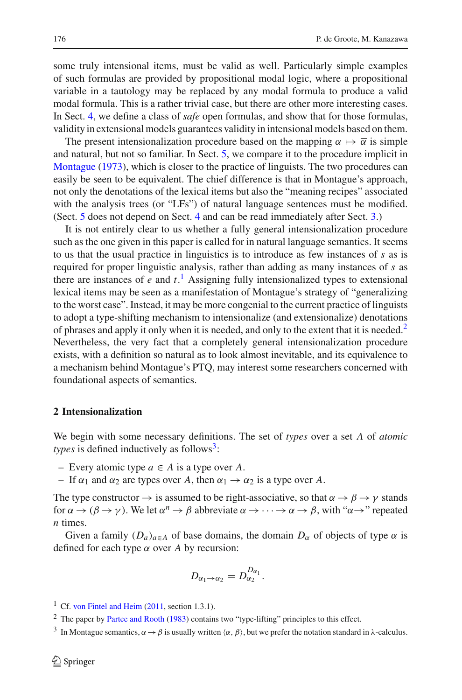some truly intensional items, must be valid as well. Particularly simple examples of such formulas are provided by propositional modal logic, where a propositional variable in a tautology may be replaced by any modal formula to produce a valid modal formula. This is a rather trivial case, but there are other more interesting cases. In Sect. [4,](#page-10-0) we define a class of *safe* open formulas, and show that for those formulas, validity in extensional models guarantees validity in intensional models based on them.

The present intensionalization procedure based on the mapping  $\alpha \mapsto \overline{\alpha}$  is simple and natural, but not so familiar. In Sect. [5,](#page-16-0) we compare it to the procedure implicit in [Montague](#page-21-1) [\(1973\)](#page-21-1), which is closer to the practice of linguists. The two procedures can easily be seen to be equivalent. The chief difference is that in Montague's approach, not only the denotations of the lexical items but also the "meaning recipes" associated with the analysis trees (or "LFs") of natural language sentences must be modified. (Sect. [5](#page-16-0) does not depend on Sect. [4](#page-10-0) and can be read immediately after Sect. [3.](#page-6-0))

It is not entirely clear to us whether a fully general intensionalization procedure such as the one given in this paper is called for in natural language semantics. It seems to us that the usual practice in linguistics is to introduce as few instances of *s* as is required for proper linguistic analysis, rather than adding as many instances of *s* as there are instances of  $e$  and  $t$ .<sup>[1](#page-3-1)</sup> Assigning fully intensionalized types to extensional lexical items may be seen as a manifestation of Montague's strategy of "generalizing to the worst case". Instead, it may be more congenial to the current practice of linguists to adopt a type-shifting mechanism to intensionalize (and extensionalize) denotations of phrases and apply it only when it is needed, and only to the extent that it is needed.<sup>2</sup> Nevertheless, the very fact that a completely general intensionalization procedure exists, with a definition so natural as to look almost inevitable, and its equivalence to a mechanism behind Montague's PTQ, may interest some researchers concerned with foundational aspects of semantics.

## <span id="page-3-0"></span>**2 Intensionalization**

We begin with some necessary definitions. The set of *types* over a set *A* of *atomic types* is defined inductively as follows<sup>[3](#page-3-3)</sup>:

- Every atomic type *a* ∈ *A* is a type over *A*.
- If  $\alpha_1$  and  $\alpha_2$  are types over A, then  $\alpha_1 \rightarrow \alpha_2$  is a type over A.

The type constructor  $\rightarrow$  is assumed to be right-associative, so that  $\alpha \rightarrow \beta \rightarrow \gamma$  stands for  $\alpha \to (\beta \to \gamma)$ . We let  $\alpha^n \to \beta$  abbreviate  $\alpha \to \cdots \to \alpha \to \beta$ , with " $\alpha \to$ " repeated *n* times.

Given a family  $(D_a)_{a \in A}$  of base domains, the domain  $D_\alpha$  of objects of type  $\alpha$  is defined for each type  $\alpha$  over A by recursion:

$$
D_{\alpha_1\to\alpha_2}=D_{\alpha_2}^{D_{\alpha_1}}.
$$

<sup>&</sup>lt;sup>1</sup> Cf. [von Fintel and Heim](#page-21-3) [\(2011,](#page-21-3) section 1.3.1).

<span id="page-3-1"></span><sup>&</sup>lt;sup>2</sup> The paper by [Partee and Rooth](#page-21-4) [\(1983](#page-21-4)) contains two "type-lifting" principles to this effect.

<span id="page-3-3"></span><span id="page-3-2"></span><sup>&</sup>lt;sup>3</sup> In Montague semantics,  $\alpha \rightarrow \beta$  is usually written  $\langle \alpha, \beta \rangle$ , but we prefer the notation standard in  $\lambda$ -calculus.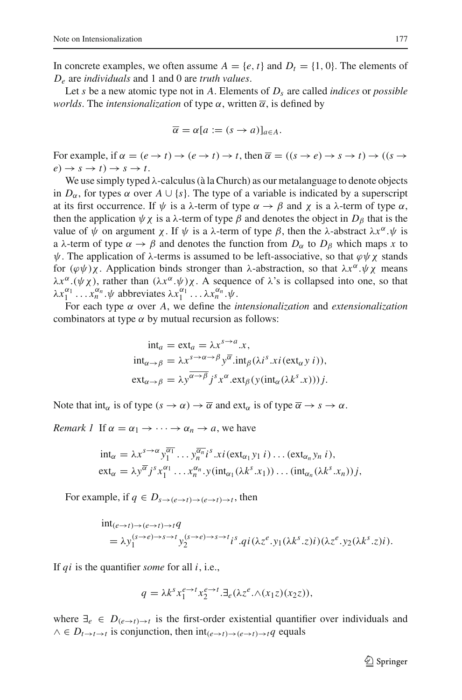In concrete examples, we often assume  $A = \{e, t\}$  and  $D_t = \{1, 0\}$ . The elements of *De* are *individuals* and 1 and 0 are *truth values*.

Let *s* be a new atomic type not in *A*. Elements of *Ds* are called *indices* or *possible worlds*. The *intensionalization* of type  $\alpha$ , written  $\overline{\alpha}$ , is defined by

$$
\overline{\alpha} = \alpha [a := (s \to a)]_{a \in A}.
$$

For example, if  $\alpha = (e \rightarrow t) \rightarrow (e \rightarrow t) \rightarrow t$ , then  $\overline{\alpha} = ((s \rightarrow e) \rightarrow s \rightarrow t) \rightarrow ((s \rightarrow e) \rightarrow t)$  $e) \rightarrow s \rightarrow t$ )  $\rightarrow s \rightarrow t$ .

We use simply typed λ-calculus (à la Church) as our metalanguage to denote objects in  $D_{\alpha}$ , for types  $\alpha$  over  $A \cup \{s\}$ . The type of a variable is indicated by a superscript at its first occurrence. If  $\psi$  is a  $\lambda$ -term of type  $\alpha \rightarrow \beta$  and  $\chi$  is a  $\lambda$ -term of type  $\alpha$ , then the application  $\psi \chi$  is a  $\lambda$ -term of type  $\beta$  and denotes the object in  $D_{\beta}$  that is the value of  $\psi$  on argument *χ*. If  $\psi$  is a λ-term of type *β*, then the λ-abstract λ*x*<sup>α</sup>. $\psi$  is a  $\lambda$ -term of type  $\alpha \rightarrow \beta$  and denotes the function from  $D_{\alpha}$  to  $D_{\beta}$  which maps x to  $\psi$ . The application of  $\lambda$ -terms is assumed to be left-associative, so that  $\varphi \psi \chi$  stands for  $(φψ)χ$ . Application binds stronger than  $λ$ -abstraction, so that  $λx^α.ψχ$  means  $\lambda x^{\alpha}$ .(ψχ), rather than  $(\lambda x^{\alpha}$ .ψ)χ. A sequence of  $\lambda$ 's is collapsed into one, so that  $\lambda x_1^{\alpha_1} \dots x_n^{\alpha_n}$ .  $\psi$  abbreviates  $\lambda x_1^{\alpha_1} \dots \lambda x_n^{\alpha_n}$ .  $\psi$ .

For each type α over *A*, we define the *intensionalization* and *extensionalization* combinators at type  $\alpha$  by mutual recursion as follows:

$$
\begin{aligned}\n\text{int}_a &= \text{ext}_a = \lambda x^{s \to a} .x, \\
\text{int}_{\alpha \to \beta} &= \lambda x^{s \to \alpha \to \beta} y^{\overline{\alpha}} .\n\text{int}_{\beta} (\lambda i^s . x i (\text{ext}_{\alpha} y i)), \\
\text{ext}_{\alpha \to \beta} &= \lambda y^{\overline{\alpha \to \beta}} j^s x^{\alpha} .\n\text{ext}_{\beta} (y (\text{int}_{\alpha} (\lambda k^s . x)) ) j.\n\end{aligned}
$$

Note that int<sub>α</sub> is of type  $(s \to \alpha) \to \overline{\alpha}$  and ext<sub>α</sub> is of type  $\overline{\alpha} \to s \to \alpha$ .

*Remark 1* If  $\alpha = \alpha_1 \rightarrow \cdots \rightarrow \alpha_n \rightarrow a$ , we have

$$
\begin{aligned}\n\text{int}_{\alpha} &= \lambda x^{s \to \alpha} y_1^{\overline{\alpha_1}} \dots y_n^{\overline{\alpha_n}} i^s \dots i(\text{ext}_{\alpha_1} y_1 i) \dots (\text{ext}_{\alpha_n} y_n i), \\
\text{ext}_{\alpha} &= \lambda y^{\overline{\alpha}} j^s x_1^{\alpha_1} \dots x_n^{\alpha_n} \cdot y(\text{int}_{\alpha_1} (\lambda k^s \dots x_1)) \dots (\text{int}_{\alpha_n} (\lambda k^s \dots x_n)) j,\n\end{aligned}
$$

For example, if  $q \in D_{s \to (e \to t) \to (e \to t) \to t}$ , then

$$
\begin{aligned} & \text{int}_{(e \to t) \to (e \to t) \to t} q \\ &= \lambda y_1^{(s \to e) \to s \to t} y_2^{(s \to e) \to s \to t} i^s \cdot qi(\lambda z^e, y_1(\lambda k^s, z)i)(\lambda z^e, y_2(\lambda k^s, z)i). \end{aligned}
$$

If *qi* is the quantifier *some* for all *i*, i.e.,

$$
q = \lambda k^s x_1^{e \to t} x_2^{e \to t} \cdot \exists_e (\lambda z^e \cdot \land (x_1 z)(x_2 z)),
$$

where  $\exists_e \in D_{(e \to t) \to t}$  is the first-order existential quantifier over individuals and  $\wedge \in D_{t \to t \to t}$  is conjunction, then  $int_{(e \to t) \to (e \to t) \to t} q$  equals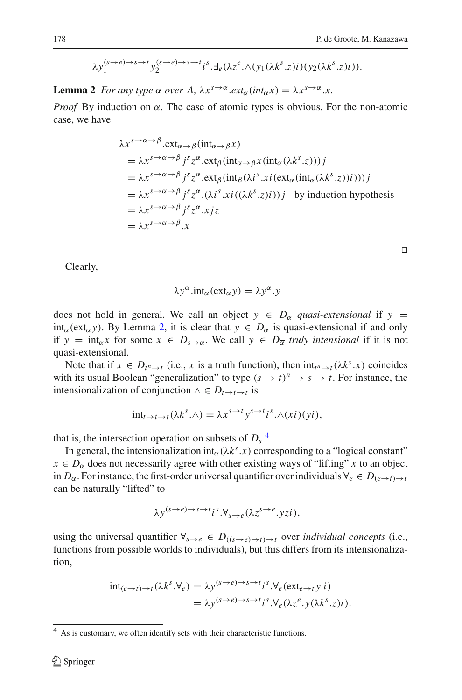$$
\lambda y_1^{(s\to e)\to s\to t} y_2^{(s\to e)\to s\to t} i^s \cdot \exists_e (\lambda z^e \cdot \wedge (y_1(\lambda k^s \cdot z)i)(y_2(\lambda k^s \cdot z)i)).
$$

<span id="page-5-0"></span>**Lemma 2** *For any type*  $\alpha$  *over* A,  $\lambda x^{s\rightarrow\alpha}$ *.ext<sub>α</sub>*(*int<sub>α</sub>x*) =  $\lambda x^{s\rightarrow\alpha}$ *.x.* 

*Proof* By induction on  $\alpha$ . The case of atomic types is obvious. For the non-atomic case, we have

$$
\lambda x^{s \to \alpha \to \beta}.\text{ext}_{\alpha \to \beta}(\text{int}_{\alpha \to \beta} x)
$$
  
=  $\lambda x^{s \to \alpha \to \beta} j^s z^{\alpha}.\text{ext}_{\beta}(\text{int}_{\alpha \to \beta} x(\text{int}_{\alpha} (\lambda k^s . z)))j$   
=  $\lambda x^{s \to \alpha \to \beta} j^s z^{\alpha}.\text{ext}_{\beta}(\text{int}_{\beta} (\lambda i^s . xi(\text{ext}_{\alpha} (\text{int}_{\alpha} (\lambda k^s . z))i)))j$   
=  $\lambda x^{s \to \alpha \to \beta} j^s z^{\alpha} .(\lambda i^s . xi((\lambda k^s . z)i))j$  by induction hypothesis  
=  $\lambda x^{s \to \alpha \to \beta} j^s z^{\alpha} .xi$   
=  $\lambda x^{s \to \alpha \to \beta} .x$ 

Clearly,

$$
\lambda y^{\overline{\alpha}}.\text{int}_{\alpha}(\text{ext}_{\alpha}y) = \lambda y^{\overline{\alpha}}.y
$$

does not hold in general. We call an object  $y \in D_{\overline{\alpha}}$  *quasi-extensional* if  $y =$ int<sub>α</sub>(ext<sub>α</sub> *y*). By Lemma [2,](#page-5-0) it is clear that  $y \in D_{\overline{\alpha}}$  is quasi-extensional if and only if  $y = \text{int}_{\alpha} x$  for some  $x \in D_{s \to \alpha}$ . We call  $y \in D_{\overline{\alpha}}$  *truly intensional* if it is not quasi-extensional.

Note that if  $x \in D_{t^n \to t}$  (i.e., *x* is a truth function), then  $int_{t^n \to t} (\lambda k^s \cdot x)$  coincides with its usual Boolean "generalization" to type  $(s \to t)^n \to s \to t$ . For instance, the intensionalization of conjunction  $\land \in D_{t\rightarrow t\rightarrow t}$  is

$$
int_{t\to t\to t}(\lambda k^s.\wedge) = \lambda x^{s\to t}y^{s\to t}i^s.\wedge (xi)(yi),
$$

that is, the intersection operation on subsets of  $D_s$ .<sup>[4](#page-5-1)</sup>

In general, the intensionalization  $int_{\alpha} (\lambda k^s \cdot x)$  corresponding to a "logical constant"  $x \in D_{\alpha}$  does not necessarily agree with other existing ways of "lifting" *x* to an object in  $D_{\overline{\alpha}}$ . For instance, the first-order universal quantifier over individuals  $\forall e \in D_{(e \to t) \to t}$ can be naturally "lifted" to

$$
\lambda y^{(s\rightarrow e)\rightarrow s\rightarrow t} i^s \cdot \forall_{s\rightarrow e} (\lambda z^{s\rightarrow e} \cdot yzi),
$$

using the universal quantifier  $\forall s \rightarrow e \in D_{((s \rightarrow e) \rightarrow t) \rightarrow t}$  over *individual concepts* (i.e., functions from possible worlds to individuals), but this differs from its intensionalization,

$$
int_{(e \to t) \to t} (\lambda k^s. \forall_e) = \lambda y^{(s \to e) \to s \to t} i^s. \forall_e (ext_{e \to t} y i)
$$
  
=  $\lambda y^{(s \to e) \to s \to t} i^s. \forall_e (\lambda z^e. y(\lambda k^s. z)i).$ 

 $\Box$ 

<span id="page-5-1"></span><sup>&</sup>lt;sup>4</sup> As is customary, we often identify sets with their characteristic functions.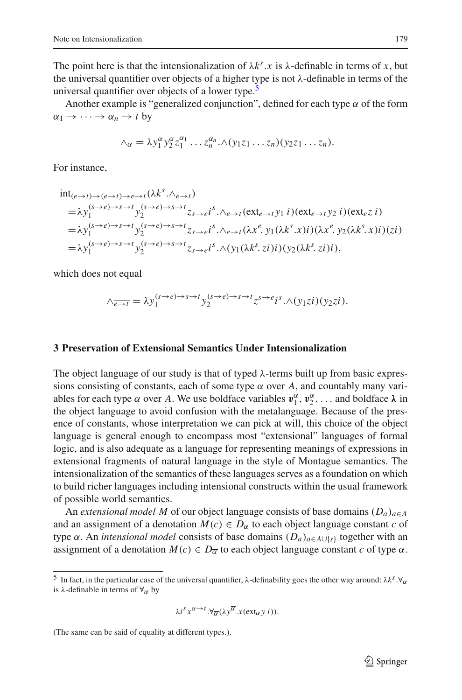The point here is that the intensionalization of  $\lambda k^s$ .*x* is  $\lambda$ -definable in terms of *x*, but the universal quantifier over objects of a higher type is not  $\lambda$ -definable in terms of the universal quantifier over objects of a lower type.<sup>5</sup>

Another example is "generalized conjunction", defined for each type  $\alpha$  of the form  $\alpha_1 \rightarrow \cdots \rightarrow \alpha_n \rightarrow t$  by

$$
\wedge_{\alpha} = \lambda y_1^{\alpha} y_2^{\alpha} z_1^{\alpha_1} \dots z_n^{\alpha_n} \wedge (y_1 z_1 \dots z_n) (y_2 z_1 \dots z_n).
$$

For instance,

$$
\begin{split}\n& \text{int}_{(e \to t) \to (e \to t) \to e \to t} (\lambda k^s \cdot \Lambda_{e \to t}) \\
&= \lambda y_1^{(s \to e) \to s \to t} y_2^{(s \to e) \to s \to t} z_{s \to e} i^s \cdot \Lambda_{e \to t} (\text{ext}_{e \to t} y_1 i) (\text{ext}_{e \to t} y_2 i) (\text{ext}_{e \to t}) \\
&= \lambda y_1^{(s \to e) \to s \to t} y_2^{(s \to e) \to s \to t} z_{s \to e} i^s \cdot \Lambda_{e \to t} (\lambda x^e \cdot y_1 (\lambda k^s \cdot x) i) (\lambda x^e \cdot y_2 (\lambda k^s \cdot x) i) (z i) \\
&= \lambda y_1^{(s \to e) \to s \to t} y_2^{(s \to e) \to s \to t} z_{s \to e} i^s \cdot \Lambda (y_1 (\lambda k^s \cdot z i) i) (y_2 (\lambda k^s \cdot z i) i),\n\end{split}
$$

which does not equal

$$
\wedge_{\overline{e\rightarrow t}} = \lambda y_1^{(s\rightarrow e)\rightarrow s\rightarrow t} y_2^{(s\rightarrow e)\rightarrow s\rightarrow t} z^{s\rightarrow e} i^s \cdot \wedge (y_1 z i) (y_2 z i).
$$

### <span id="page-6-0"></span>**3 Preservation of Extensional Semantics Under Intensionalization**

The object language of our study is that of typed  $\lambda$ -terms built up from basic expressions consisting of constants, each of some type  $\alpha$  over A, and countably many variables for each type  $\alpha$  over *A*. We use boldface variables  $v_1^{\alpha}, v_2^{\alpha}, \dots$  and boldface  $\lambda$  in the object language to avoid confusion with the metalanguage. Because of the presence of constants, whose interpretation we can pick at will, this choice of the object language is general enough to encompass most "extensional" languages of formal logic, and is also adequate as a language for representing meanings of expressions in extensional fragments of natural language in the style of Montague semantics. The intensionalization of the semantics of these languages serves as a foundation on which to build richer languages including intensional constructs within the usual framework of possible world semantics.

An *extensional model M* of our object language consists of base domains  $(D_a)_{a \in A}$ and an assignment of a denotation  $M(c) \in D_\alpha$  to each object language constant *c* of type  $\alpha$ . An *intensional model* consists of base domains  $(D_a)_{a \in A \cup \{s\}}$  together with an assignment of a denotation  $M(c) \in D_{\overline{\alpha}}$  to each object language constant *c* of type  $\alpha$ .

$$
\lambda i^s x^{\alpha \to t} \cdot \forall_{\overline{\alpha}} (\lambda y^{\overline{\alpha}} \cdot x(\text{ext}_{\alpha} y \cdot i)).
$$

(The same can be said of equality at different types.).

<span id="page-6-1"></span><sup>&</sup>lt;sup>5</sup> In fact, in the particular case of the universal quantifier,  $\lambda$ -definability goes the other way around:  $\lambda k^s \cdot \forall \alpha$ is λ-definable in terms of  $\forall \overline{\alpha}$  by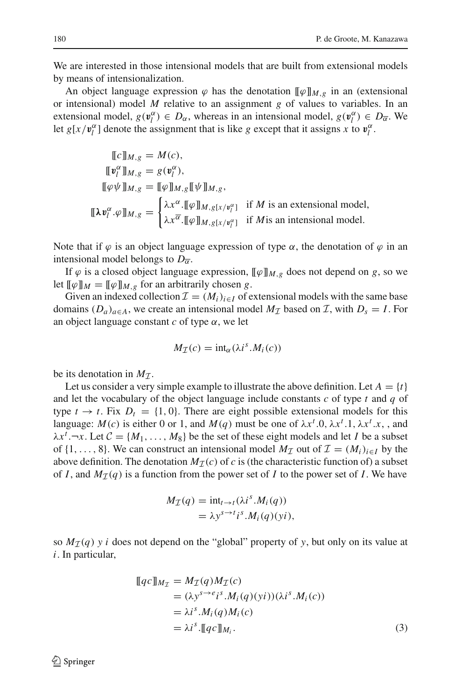We are interested in those intensional models that are built from extensional models by means of intensionalization.

An object language expression  $\varphi$  has the denotation  $\llbracket \varphi \rrbracket_{M,\varrho}$  in an (extensional or intensional) model *M* relative to an assignment *g* of values to variables. In an extensional model,  $g(\mathbf{v}_l^{\alpha}) \in D_{\alpha}$ , whereas in an intensional model,  $g(\mathbf{v}_l^{\alpha}) \in D_{\overline{\alpha}}$ . We let  $g[x/\mathbf{v}_l^{\alpha}]$  denote the assignment that is like *g* except that it assigns *x* to  $\mathbf{v}_l^{\alpha}$ .

$$
\begin{aligned}\n\llbracket c \rrbracket_{M,g} &= M(c), \\
\llbracket \mathbf{v}_l^{\alpha} \rrbracket_{M,g} &= g(\mathbf{v}_l^{\alpha}), \\
\llbracket \varphi \psi \rrbracket_{M,g} &= \llbracket \varphi \rrbracket_{M,g} \llbracket \psi \rrbracket_{M,g}, \\
\llbracket \lambda \mathbf{v}_l^{\alpha} \cdot \varphi \rrbracket_{M,g} &= \begin{cases}\n\lambda x^{\alpha} \cdot \llbracket \varphi \rrbracket_{M,g[x/v_l^{\alpha}]}\n\end{cases} \text{ if } M \text{ is an extensional model}, \\
\lambda x^{\overline{\alpha}} \cdot \llbracket \varphi \rrbracket_{M,g[x/v_l^{\alpha}]}\n\end{aligned}
$$
if *M* is an intensional model.

Note that if  $\varphi$  is an object language expression of type  $\alpha$ , the denotation of  $\varphi$  in an intensional model belongs to  $D_{\overline{\alpha}}$ .

If  $\varphi$  is a closed object language expression,  $[\![\varphi]\!]_{M,g}$  does not depend on *g*, so we let  $[\![\varphi]\!]_M = [\![\varphi]\!]_{M,g}$  for an arbitrarily chosen *g*.

Given an indexed collection  $\mathcal{I} = (M_i)_{i \in I}$  of extensional models with the same base domains  $(D_a)_{a \in A}$ , we create an intensional model  $M_{\mathcal{I}}$  based on *I*, with  $D_s = I$ . For an object language constant  $c$  of type  $\alpha$ , we let

$$
M_{\mathcal{I}}(c) = \text{int}_{\alpha}(\lambda i^s.M_i(c))
$$

be its denotation in  $M<sub>T</sub>$ .

Let us consider a very simple example to illustrate the above definition. Let  $A = \{t\}$ and let the vocabulary of the object language include constants *c* of type *t* and *q* of type  $t \to t$ . Fix  $D_t = \{1, 0\}$ . There are eight possible extensional models for this language:  $M(c)$  is either 0 or 1, and  $M(q)$  must be one of  $\lambda x^t.0, \lambda x^t.1, \lambda x^t.x$ , and  $\lambda x^t$ .  $\neg x$ . Let  $C = \{M_1, \ldots, M_8\}$  be the set of these eight models and let *I* be a subset of  $\{1,\ldots, 8\}$ . We can construct an intensional model  $M_{\mathcal{I}}$  out of  $\mathcal{I} = (M_i)_{i \in I}$  by the above definition. The denotation  $M_{\mathcal{I}}(c)$  of *c* is (the characteristic function of) a subset of *I*, and  $M_{\mathcal{I}}(q)$  is a function from the power set of *I* to the power set of *I*. We have

$$
M_{\mathcal{I}}(q) = \text{int}_{t \to t} (\lambda i^s M_i(q))
$$
  
=  $\lambda y^{s \to t} i^s M_i(q)(yi),$ 

so  $M_{\mathcal{I}}(q)$  *y i* does not depend on the "global" property of *y*, but only on its value at *i*. In particular,

<span id="page-7-0"></span>
$$
\begin{aligned} \llbracket qc \rrbracket_{M_{\mathcal{I}}} &= M_{\mathcal{I}}(q)M_{\mathcal{I}}(c) \\ &= (\lambda y^{s \to e} i^s.M_i(q)(yi))(\lambda i^s.M_i(c)) \\ &= \lambda i^s.M_i(q)M_i(c) \\ &= \lambda i^s.\llbracket qc \rrbracket_{M_i} . \end{aligned} \tag{3}
$$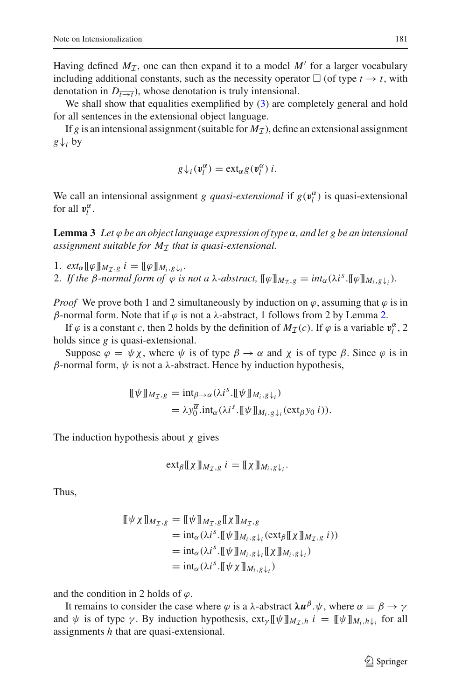Having defined  $M_{\tau}$ , one can then expand it to a model M' for a larger vocabulary including additional constants, such as the necessity operator  $\Box$  (of type  $t \rightarrow t$ , with denotation in  $D_{\overline{t\rightarrow t}}$ , whose denotation is truly intensional.

We shall show that equalities exemplified by  $(3)$  are completely general and hold for all sentences in the extensional object language.

If *g* is an intensional assignment (suitable for  $M<sub>T</sub>$ ), define an extensional assignment  $g \downarrow_i$  by

$$
g\,\downarrow_i(\mathbf{v}_l^{\alpha}) = \text{ext}_{\alpha} g(\mathbf{v}_l^{\alpha})\,i.
$$

<span id="page-8-0"></span>We call an intensional assignment *g quasi-extensional* if  $g(\mathbf{v}_l^{\alpha})$  is quasi-extensional for all  $v_l^{\alpha}$ .

**Lemma 3** *Let* ϕ *be an object language expression of type* α*, and let g be an intensional assignment suitable for M<sup>I</sup> that is quasi-extensional.*

1.  $ext_{\alpha}[\![\varphi]\!]_{M_{\tau},g}$   $i = [\![\varphi]\!]_{M_i,g}\!\downarrow_i$ . 2. *If the β*-normal form of  $\varphi$  *is not a*  $\lambda$ -abstract,  $[\![\varphi]\!]_{M_T,g} = int_{\alpha}(\lambda i^s \cdot [\![\varphi]\!]_{M_i,g} \downarrow)$ .

*Proof* We prove both 1 and 2 simultaneously by induction on  $\varphi$ , assuming that  $\varphi$  is in β-normal form. Note that if  $\varphi$  is not a λ-abstract, 1 follows from 2 by Lemma [2.](#page-5-0)

If  $\varphi$  is a constant *c*, then 2 holds by the definition of  $M_{\mathcal{I}}(c)$ . If  $\varphi$  is a variable  $v_l^{\alpha}$ , 2 holds since *g* is quasi-extensional.

Suppose  $\varphi = \psi \chi$ , where  $\psi$  is of type  $\beta \to \alpha$  and  $\chi$  is of type  $\beta$ . Since  $\varphi$  is in  $β$ -normal form,  $ψ$  is not a  $λ$ -abstract. Hence by induction hypothesis,

$$
\llbracket \psi \rrbracket_{M_T, g} = \mathrm{int}_{\beta \to \alpha} (\lambda i^s. \llbracket \psi \rrbracket_{M_i, g \downarrow_i})
$$
  
=  $\lambda y_0^{\overline{\alpha}} \cdot \mathrm{int}_{\alpha} (\lambda i^s. \llbracket \psi \rrbracket_{M_i, g \downarrow_i} (\mathrm{ext}_{\beta} y_0 i)).$ 

The induction hypothesis about  $\chi$  gives

$$
\mathrm{ext}_{\beta}[\![\chi]\!]_{M_{\mathcal{I}},g} i = [\![\chi]\!]_{M_i,g}\!\downarrow_i.
$$

Thus,

$$
\begin{aligned} \llbracket \psi \chi \rrbracket_{M_{\mathcal{I}},g} &= \llbracket \psi \rrbracket_{M_{\mathcal{I}},g} \llbracket \chi \rrbracket_{M_{\mathcal{I}},g} \\ &= \mathrm{int}_{\alpha} (\lambda i^s \cdot \llbracket \psi \rrbracket_{M_i,g\downarrow_i} (\mathrm{ext}_{\beta} \llbracket \chi \rrbracket_{M_{\mathcal{I}},g} i)) \\ &= \mathrm{int}_{\alpha} (\lambda i^s \cdot \llbracket \psi \rrbracket_{M_i,g\downarrow_i} \llbracket \chi \rrbracket_{M_i,g\downarrow_i}) \\ &= \mathrm{int}_{\alpha} (\lambda i^s \cdot \llbracket \psi \chi \rrbracket_{M_i,g\downarrow_i}) \end{aligned}
$$

and the condition in 2 holds of  $\varphi$ .

It remains to consider the case where  $\varphi$  is a  $\lambda$ -abstract  $\lambda u^{\beta}$ . $\psi$ , where  $\alpha = \beta \rightarrow \gamma$ and  $\psi$  is of type  $\gamma$ . By induction hypothesis,  $ext_{\gamma}[\![\psi]\!]_{M_{\tau},h}$  *i* =  $[\![\psi]\!]_{M_i,h}\!$ <sub>*i*</sub> for all assignments *h* that are quasi-extensional.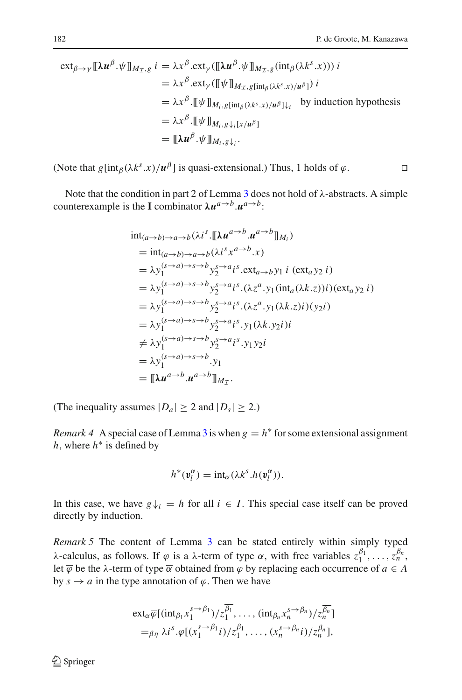$\Box$ 

$$
\operatorname{ext}_{\beta \to \gamma} [\![\lambda u^{\beta}.\psi]\!]_{M_{\mathcal{I}},g} i = \lambda x^{\beta}.\operatorname{ext}_{\gamma}([\![\lambda u^{\beta}.\psi]\!]_{M_{\mathcal{I}},g}(\operatorname{int}_{\beta}(\lambda k^{s}.x))) i
$$
  
\n
$$
= \lambda x^{\beta}.\operatorname{ext}_{\gamma}([\![\psi]\!]_{M_{\mathcal{I}},g[\operatorname{int}_{\beta}(\lambda k^{s}.x)/u^{\beta}]}) i
$$
  
\n
$$
= \lambda x^{\beta}.\llbracket \psi \rrbracket_{M_{i},g[\operatorname{int}_{\beta}(\lambda k^{s}.x)/u^{\beta}] \downarrow_{i}} \text{ by induction hypothesis}
$$
  
\n
$$
= \lambda x^{\beta}.\llbracket \psi \rrbracket_{M_{i},g\downarrow_{i}[\chi/u^{\beta}]}
$$
  
\n
$$
= [\![\lambda u^{\beta}.\psi]\!]_{M_{i},g\downarrow_{i}}.
$$

(Note that  $g[\text{int}_{\beta}(\lambda k^s.x)/\mu^{\beta}]$  is quasi-extensional.) Thus, 1 holds of  $\varphi$ .

Note that the condition in part 2 of Lemma  $\frac{3}{3}$  $\frac{3}{3}$  $\frac{3}{3}$  does not hold of  $\lambda$ -abstracts. A simple counterexample is the **I** combinator  $\lambda u^{a \to b} u^{a \to b}$ :

$$
\begin{split}\n&\text{int}_{(a\to b)\to a\to b}(\lambda i^s \cdot [\![\lambda u^{a\to b} \cdot u^{a\to b}]\!]_{M_i}) \\
&= \text{int}_{(a\to b)\to a\to b}(\lambda i^s x^{a\to b} \cdot x) \\
&= \lambda y_1^{(s\to a)\to s\to b} y_2^{s\to a} i^s \cdot \text{ext}_{a\to b} y_1 i (\text{ext}_a y_2 i) \\
&= \lambda y_1^{(s\to a)\to s\to b} y_2^{s\to a} i^s \cdot (\lambda z^a \cdot y_1 (\text{int}_a (\lambda k. z)) i) (\text{ext}_a y_2 i) \\
&= \lambda y_1^{(s\to a)\to s\to b} y_2^{s\to a} i^s \cdot (\lambda z^a \cdot y_1 (\lambda k. z) i) (y_2 i) \\
&= \lambda y_1^{(s\to a)\to s\to b} y_2^{s\to a} i^s \cdot y_1 (\lambda k. y_2 i) i \\
&\neq \lambda y_1^{(s\to a)\to s\to b} y_2^{s\to a} i^s \cdot y_1 y_2 i \\
&= \lambda y_1^{(s\to a)\to s\to b} \cdot y_1 \\
&= [\![\lambda u^{a\to b} \cdot u^{a\to b}\!]_{M_T}.\n\end{split}
$$

(The inequality assumes  $|D_a| \geq 2$  and  $|D_s| \geq 2$ .)

*Remark 4* A special case of Lemma [3](#page-8-0) is when  $g = h^*$  for some extensional assignment *h*, where *h*<sup>∗</sup> is defined by

$$
h^*(v_l^{\alpha}) = \mathrm{int}_{\alpha}(\lambda k^s.h(v_l^{\alpha})).
$$

In this case, we have  $g\downarrow$ <sub>i</sub> = *h* for all  $i \in I$ . This special case itself can be proved directly by induction.

<span id="page-9-0"></span>*Remark 5* The content of Lemma [3](#page-8-0) can be stated entirely within simply typed λ-calculus, as follows. If  $\varphi$  is a λ-term of type  $\alpha$ , with free variables  $z_1^{\beta_1}, \ldots, z_n^{\beta_n}$ , let  $\overline{\varphi}$  be the  $\lambda$ -term of type  $\overline{\alpha}$  obtained from  $\varphi$  by replacing each occurrence of  $a \in A$ by  $s \to a$  in the type annotation of  $\varphi$ . Then we have

$$
\operatorname{ext}_{\alpha}\overline{\varphi}[(\operatorname{int}_{\beta_1} x_1^{s\to\beta_1})/z_1^{\overline{\beta_1}}, \dots, (\operatorname{int}_{\beta_n} x_n^{s\to\beta_n})/z_n^{\overline{\beta_n}}]
$$
  
=  $\beta_n \lambda i^s \cdot \varphi[(x_1^{s\to\beta_1}i)/z_1^{\beta_1}, \dots, (x_n^{s\to\beta_n}i)/z_n^{\beta_n}],$ 

<sup>2</sup> Springer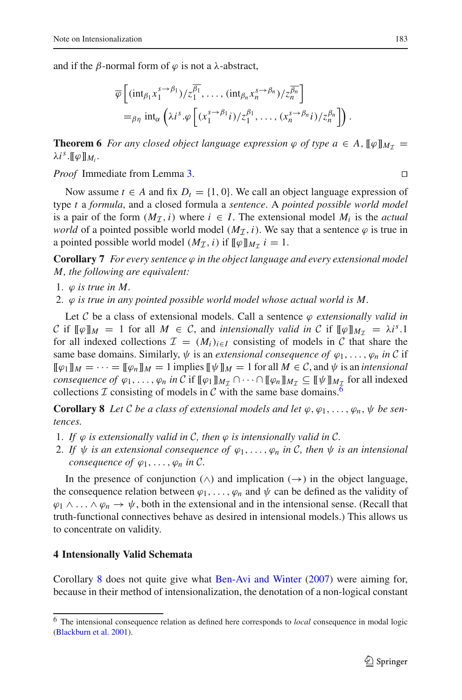and if the β-normal form of  $\varphi$  is not a λ-abstract,

$$
\overline{\varphi}\left[ (\mathrm{int}_{\beta_1} x_1^{s\to\beta_1})/z_1^{\overline{\beta_1}}, \dots, (\mathrm{int}_{\beta_n} x_n^{s\to\beta_n})/z_n^{\overline{\beta_n}} \right]
$$
  
=  $\rho_{\eta} \mathrm{int}_{\alpha} \left( \lambda i^s . \varphi \left[ (x_1^{s\to\beta_1} i)/z_1^{\beta_1}, \dots, (x_n^{s\to\beta_n} i)/z_n^{\beta_n} \right] \right).$ 

<span id="page-10-3"></span>**Theorem 6** *For any closed object language expression*  $\varphi$  *of type*  $a \in A$ ,  $[\varphi]_{M_{\tau}} =$  $\lambda i^s$ .[[ $\varphi$ ]]*M<sub>i</sub>*.

*Proof* Immediate from Lemma [3.](#page-8-0)

Now assume  $t \in A$  and fix  $D_t = \{1, 0\}$ . We call an object language expression of type *t* a *formula*, and a closed formula a *sentence*. A *pointed possible world model* is a pair of the form  $(M<sub>T</sub>, i)$  where  $i \in I$ . The extensional model  $M<sub>i</sub>$  is the *actual world* of a pointed possible world model  $(M<sub>I</sub>, i)$ . We say that a sentence  $\varphi$  is true in a pointed possible world model  $(M_{\mathcal{I}}, i)$  if  $[\![\varphi]\!]_{M_{\mathcal{I}}}$   $i = 1$ .

**Corollary 7** *For every sentence*  $\varphi$  *in the object language and every extensional model M, the following are equivalent:*

1.  $\varphi$  *is true in M.* 

2. ϕ *is true in any pointed possible world model whose actual world is M.*

Let  $C$  be a class of extensional models. Call a sentence  $\varphi$  *extensionally valid in C* if  $\llbracket \phi \rrbracket_M = 1$  for all  $M \in \mathcal{C}$ , and *intensionally valid in*  $\mathcal{C}$  if  $\llbracket \phi \rrbracket_{M_\tau} = \lambda i^s.1$ for all indexed collections  $\mathcal{I} = (M_i)_{i \in I}$  consisting of models in C that share the same base domains. Similarly,  $\psi$  is an *extensional consequence of*  $\varphi_1, \ldots, \varphi_n$  *in*  $C$  if  $[\![\varphi_1]\!]_M = \cdots = [\![\varphi_n]\!]_M = 1$  implies  $[\![\psi]\!]_M = 1$  for all  $M \in \mathcal{C}$ , and  $\psi$  is an *intensional consequence of*  $\varphi_1, \ldots, \varphi_n$  *in*  $C$  if  $[\![\varphi_1]\!]_{M_T} \cap \cdots \cap [\![\varphi_n]\!]_{M_T} \subseteq [\![\psi]\!]_{M_T}$  for all indexed collections  $I$  consisting of models in  $C$  with the same base domains.<sup>6</sup>

<span id="page-10-2"></span>**Corollary 8** *Let C be a class of extensional models and let*  $\varphi, \varphi_1, \ldots, \varphi_n, \psi$  *be sentences.*

- 1. If  $\varphi$  is extensionally valid in C, then  $\varphi$  is intensionally valid in C.
- 2. If  $\psi$  *is an extensional consequence of*  $\varphi_1, \ldots, \varphi_n$  *in* C, then  $\psi$  *is an intensional consequence of*  $\varphi_1, \ldots, \varphi_n$  *in C*.

In the presence of conjunction ( $\wedge$ ) and implication ( $\rightarrow$ ) in the object language, the consequence relation between  $\varphi_1, \ldots, \varphi_n$  and  $\psi$  can be defined as the validity of  $\varphi_1 \wedge \ldots \wedge \varphi_n \to \psi$ , both in the extensional and in the intensional sense. (Recall that truth-functional connectives behave as desired in intensional models.) This allows us to concentrate on validity.

#### <span id="page-10-0"></span>**4 Intensionally Valid Schemata**

Corollary [8](#page-10-2) does not quite give what [Ben-Avi and Winter](#page-21-0) [\(2007\)](#page-21-0) were aiming for, because in their method of intensionalization, the denotation of a non-logical constant

 $\Box$ 

<span id="page-10-1"></span><sup>6</sup> The intensional consequence relation as defined here corresponds to *local* consequence in modal logic [\(Blackburn et al. 2001\)](#page-21-5).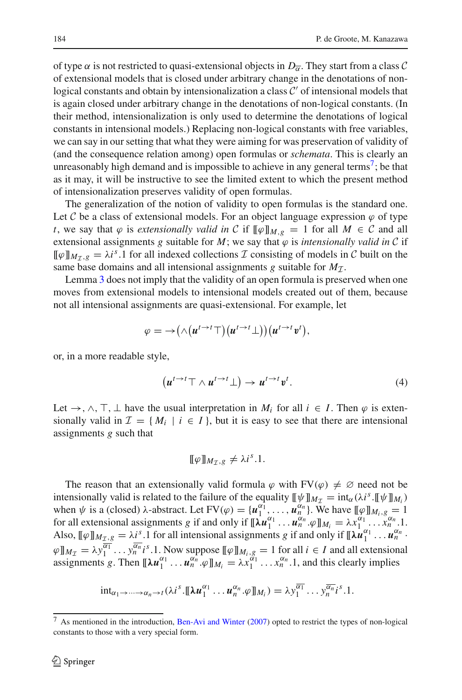of type  $\alpha$  is not restricted to quasi-extensional objects in  $D_{\alpha}$ . They start from a class *C* of extensional models that is closed under arbitrary change in the denotations of nonlogical constants and obtain by intensionalization a class  $C'$  of intensional models that is again closed under arbitrary change in the denotations of non-logical constants. (In their method, intensionalization is only used to determine the denotations of logical constants in intensional models.) Replacing non-logical constants with free variables, we can say in our setting that what they were aiming for was preservation of validity of (and the consequence relation among) open formulas or *schemata*. This is clearly an unreasonably high demand and is impossible to achieve in any general terms<sup>7</sup>; be that as it may, it will be instructive to see the limited extent to which the present method of intensionalization preserves validity of open formulas.

The generalization of the notion of validity to open formulas is the standard one. Let C be a class of extensional models. For an object language expression  $\varphi$  of type *t*, we say that  $\varphi$  is *extensionally valid in C* if  $[\![\varphi]\!]_{M,g} = 1$  for all  $M \in \mathcal{C}$  and all extensional assignments *g* suitable for *M*; we say that  $\varphi$  is *intensionally valid in*  $C$  if  $[\![\varphi]\!]_{M_{\tau}}$ ,  $[\![\varphi]\!]_{M_{\tau}}$ ,  $[\![\varphi]\!]$  and  $[\![\varphi]\!]$  and  $[\![\varphi]\!]$  and  $[\![\varphi]\!]$  and  $[\![\varphi]\!]$  and  $[\![\varphi]\!]$  and  $[\![\varphi]\!]$  and  $[\![\varphi]\!]$  and  $[\![\varphi]\!]$  and  $[\![\varphi]\!]$  and  $[\![\varphi]\!]$  and  $[\![\varphi]\!]$  and  $[\![\varphi]\!]$  and  $[\![\var$ same base domains and all intensional assignments *g* suitable for  $M<sub>T</sub>$ .

Lemma [3](#page-8-0) does not imply that the validity of an open formula is preserved when one moves from extensional models to intensional models created out of them, because not all intensional assignments are quasi-extensional. For example, let

$$
\varphi = \rightarrow \big(\wedge \big(\mathbf{u}^{t \rightarrow t} \top\big)\big(\mathbf{u}^{t \rightarrow t} \bot\big)\big)\big(\mathbf{u}^{t \rightarrow t} \mathbf{v}^{t}\big),
$$

<span id="page-11-1"></span>or, in a more readable style,

$$
\left(u^{t\to t}\top \wedge u^{t\to t}\bot\right) \to u^{t\to t}v^t. \tag{4}
$$

Let  $\rightarrow$ ,  $\land$ ,  $\top$ ,  $\bot$  have the usual interpretation in  $M_i$  for all  $i \in I$ . Then  $\varphi$  is extensionally valid in  $\mathcal{I} = \{M_i \mid i \in I\}$ , but it is easy to see that there are intensional assignments *g* such that

$$
[\![\varphi]\!]_{M_{\mathcal{I}},g}\neq \lambda i^{s}.1.
$$

The reason that an extensionally valid formula  $\varphi$  with  $FV(\varphi) \neq \varnothing$  need not be intensionally valid is related to the failure of the equality  $[\![\psi]\!]_{M_{\tau}} = \text{int}_{\alpha}(\lambda i^s \cdot [\![\psi]\!]_{M_i})$ when  $\psi$  is a (closed)  $\lambda$ -abstract. Let  $FV(\varphi) = \{u_1^{\alpha_1}, \ldots, u_n^{\alpha_n}\}$ . We have  $[\![\varphi]\!]_{M_i,g} = 1$ for all extensional assignments *g* if and only if  $[\![\lambda u_1^{\alpha_1} \dots u_n^{\alpha_n} \dots \varphi]\!]_{M_i} = \lambda x_1^{\alpha_1} \dots x_n^{\alpha_n}$ . Also,  $[\![\varphi]\!]_{M_{\mathcal{I}},g} = \lambda_i^s$ .1 for all intensional assignments *g* if and only if  $[\![\lambda \mathbf{u}_1^{\alpha_1} \dots \mathbf{u}_n^{\alpha_n}]$ .  $\varphi \|_{M_{\mathcal{I}}} = \lambda y_1^{\overline{\alpha_1}} \cdots y_n^{\overline{\alpha_n}} i^s.1$ . Now suppose  $[\![\varphi]\!]_{M_i,g} = 1$  for all  $i \in I$  and all extensional assignments *g*. Then  $[\![\lambda u_1^{\alpha_1} \dots u_n^{\alpha_n} \cdot \varphi]\!]_{M_i} = \lambda x_1^{\alpha_1} \dots x_n^{\alpha_n}$ . 1, and this clearly implies

$$
\mathrm{int}_{\alpha_1\to\cdots\to\alpha_n\to t}(\lambda i^s.\llbracket \lambda \mathbf{u}_1^{\alpha_1}\ldots \mathbf{u}_n^{\alpha_n}.\varphi\rrbracket_{M_i})=\lambda y_1^{\overline{\alpha_1}}\ldots y_n^{\overline{\alpha_n}}i^s.1.
$$

<span id="page-11-0"></span><sup>7</sup> As mentioned in the introduction, [Ben-Avi and Winter](#page-21-0) [\(2007](#page-21-0)) opted to restrict the types of non-logical constants to those with a very special form.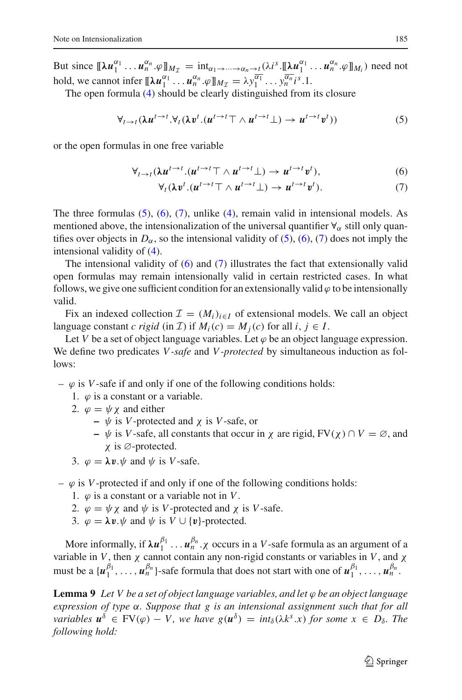But since  $[\![\lambda u_1^{\alpha_1} \dots u_n^{\alpha_n} \cdot \varphi \rrbracket_{M_{\mathcal{I}}} = \text{int}_{\alpha_1 \to \dots \to \alpha_n \to \underbrace{\cdot}_{n} \cdot} \left( \lambda i^s \cdot [\![\lambda u_1^{\alpha_1} \dots u_n^{\alpha_n} \cdot \varphi \rrbracket_{M_i}) \text{ need not}$ hold, we cannot infer  $[\![\lambda u_1^{\alpha_1} \dots u_n^{\alpha_n} \cdot \varphi]\!]_{M_{\mathcal{I}}} = \lambda y_1^{\overline{\alpha_1}} \dots y_n^{\overline{\alpha_n}} i^s.1$ .

The open formula [\(4\)](#page-11-1) should be clearly distinguished from its closure

$$
\forall_{t \to t} (\lambda u^{t \to t}.\forall_t (\lambda v^t.(u^{t \to t} \top \wedge u^{t \to t} \bot) \to u^{t \to t} v^t))
$$
\n
$$
(5)
$$

<span id="page-12-1"></span><span id="page-12-0"></span>or the open formulas in one free variable

$$
\forall_{t\to t} (\lambda u^{t\to t} . (u^{t\to t} \top \wedge u^{t\to t} \bot) \to u^{t\to t} v^t), \tag{6}
$$

$$
\forall_t (\lambda v^t. (u^{t \to t} \top \wedge u^{t \to t} \bot) \to u^{t \to t} v^t). \tag{7}
$$

The three formulas  $(5)$ ,  $(6)$ ,  $(7)$ , unlike  $(4)$ , remain valid in intensional models. As mentioned above, the intensionalization of the universal quantifier  $\forall_{\alpha}$  still only quantifies over objects in  $D_{\alpha}$ , so the intensional validity of [\(5\)](#page-12-0), [\(6\)](#page-12-1), [\(7\)](#page-12-1) does not imply the intensional validity of [\(4\)](#page-11-1).

The intensional validity of  $(6)$  and  $(7)$  illustrates the fact that extensionally valid open formulas may remain intensionally valid in certain restricted cases. In what follows, we give one sufficient condition for an extensionally valid  $\varphi$  to be intensionally valid.

Fix an indexed collection  $\mathcal{I} = (M_i)_{i \in I}$  of extensional models. We call an object language constant *c* rigid (in *I*) if  $M_i(c) = M_i(c)$  for all  $i, j \in I$ .

Let *V* be a set of object language variables. Let  $\varphi$  be an object language expression. We define two predicates *V -safe* and *V -protected* by simultaneous induction as follows:

- $-\varphi$  is *V*-safe if and only if one of the following conditions holds:
	- 1.  $\varphi$  is a constant or a variable.
	- 2.  $\varphi = \psi \chi$  and either
		- **–** ψ is *V*-protected and χ is *V*-safe, or
		- **–** ψ is *V*-safe, all constants that occur in χ are rigid, FV(χ ) ∩ *V* = ∅, and χ is ∅-protected.
	- 3.  $\varphi = \lambda v \cdot \psi$  and  $\psi$  is *V*-safe.
- $-\varphi$  is *V*-protected if and only if one of the following conditions holds:
	- 1.  $\varphi$  is a constant or a variable not in *V*.
	- 2.  $\varphi = \psi \chi$  and  $\psi$  is *V*-protected and  $\chi$  is *V*-safe.
	- 3.  $\varphi = \lambda v \psi$  and  $\psi$  is  $V \cup \{v\}$ -protected.

More informally, if  $\lambda u_1^{\beta_1} \dots u_n^{\beta_n}$ .  $\chi$  occurs in a *V*-safe formula as an argument of a variable in *V*, then  $\chi$  cannot contain any non-rigid constants or variables in *V*, and  $\chi$ must be a  $\{u_1^{\beta_1}, \ldots, u_n^{\beta_n}\}$ -safe formula that does not start with one of  $u_1^{\beta_1}, \ldots, u_n^{\beta_n}$ .

<span id="page-12-2"></span>**Lemma 9** *Let V be a set of object language variables, and let* ϕ *be an object language expression of type* α*. Suppose that g is an intensional assignment such that for all variables*  $u^{\delta} \in FV(\varphi) - V$ , we have  $g(u^{\delta}) = int_{\delta}(\lambda k^{s}.x)$  for some  $x \in D_{\delta}$ . The *following hold:*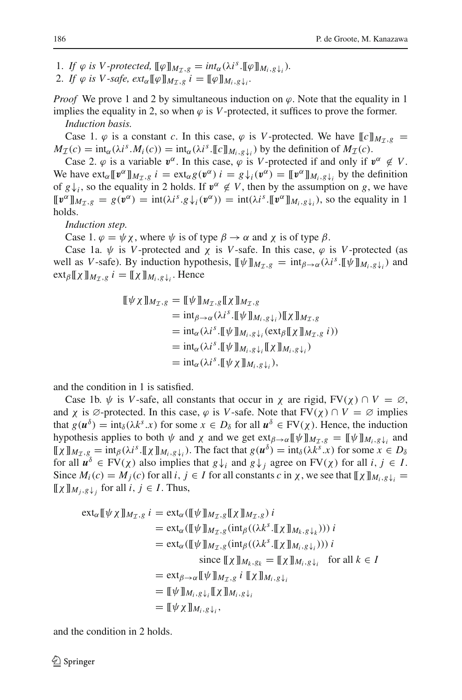- 1. *If*  $\varphi$  *is V*-protected,  $[\![\varphi]\!]_{M_7,g} = \text{int}_{\alpha}(\lambda i^s \cdot [\![\varphi]\!]_{M_i,g}\downarrow_i).$
- 2. *If*  $\varphi$  *is V*-safe,  $ext_{\alpha}[\![\varphi]\!]_{M_{\tau,g}}$   $i = [\![\varphi]\!]_{M_i,g}$ <sub>*i*</sub>.

*Proof* We prove 1 and 2 by simultaneous induction on  $\varphi$ . Note that the equality in 1 implies the equality in 2, so when  $\varphi$  is *V*-protected, it suffices to prove the former. *Induction basis.*

Case 1.  $\varphi$  is a constant *c*. In this case,  $\varphi$  is *V*-protected. We have  $\llbracket c \rrbracket_{M_{\tau},g}$  =  $M_{\mathcal{I}}(c) = \text{int}_{\alpha}(\lambda i^s M_i(c)) = \text{int}_{\alpha}(\lambda i^s \cdot [c]_{M_i,g}\downarrow)$  by the definition of  $M_{\mathcal{I}}(c)$ .

Case 2.  $\varphi$  is a variable  $v^{\alpha}$ . In this case,  $\varphi$  is *V*-protected if and only if  $v^{\alpha} \notin V$ . We have  $ext_{\alpha}[\![v^{\alpha}]\!]_{M_{\tau,g}} i = ext_{\alpha}g(v^{\alpha}) i = g\downarrow_i(v^{\alpha}) = [\![v^{\alpha}]\!]_{M_i,g}\downarrow_i$  by the definition of  $g\downarrow$ *i*, so the equality in 2 holds. If  $v^{\alpha} \notin V$ , then by the assumption on *g*, we have  $[\![\mathbf{v}^\alpha]\!]_{M_{\tau,\varrho}} = g(\mathbf{v}^\alpha) = \text{int}(\lambda i^s g_\nu(\mathbf{v}^\alpha)) = \text{int}(\lambda i^s [\![\mathbf{v}^\alpha]\!]_{M_i,g_\nu(\mathbf{v})})$ , so the equality in 1 holds.

*Induction step.*

Case 1.  $\varphi = \psi \chi$ , where  $\psi$  is of type  $\beta \to \alpha$  and  $\chi$  is of type  $\beta$ .

Case 1a.  $\psi$  is *V*-protected and  $\chi$  is *V*-safe. In this case,  $\varphi$  is *V*-protected (as well as *V*-safe). By induction hypothesis,  $[\![\psi]\!]_{M_7,g} = \text{int}_{\beta \to \alpha} (\lambda i^s \cdot [\![\psi]\!]_{M_i,g} \cdot )$  and  $ext_{\beta}[\![\chi]\!]_{M_{\tau},g}$   $i = [\![\chi]\!]_{M_i,g}\!]_i$ . Hence

$$
\begin{aligned} [\![\psi \chi]\!]M_{\mathcal{I},g} &= [\![\psi]\!]M_{\mathcal{I},g}[\![\chi]\!]M_{\mathcal{I},g} \\ &= \mathrm{int}_{\beta \to \alpha} (\lambda i^s \cdot [\![\psi]\!]M_{i,g}\downarrow_i) [\![\chi]\!]M_{\mathcal{I},g} \\ &= \mathrm{int}_{\alpha} (\lambda i^s \cdot [\![\psi]\!]M_{i,g}\downarrow_i(\mathrm{ext}_{\beta}[\![\chi]\!]M_{\mathcal{I},g} i)) \\ &= \mathrm{int}_{\alpha} (\lambda i^s \cdot [\![\psi]\!]M_{i,g}\downarrow_i[\![\chi]\!]M_{i,g}\downarrow_i) \\ &= \mathrm{int}_{\alpha} (\lambda i^s \cdot [\![\psi \chi]\!]M_{i,g}\downarrow_i), \end{aligned}
$$

and the condition in 1 is satisfied.

Case 1b.  $\psi$  is *V*-safe, all constants that occur in  $\chi$  are rigid, FV( $\chi$ )  $\cap$   $V = \emptyset$ , and  $\chi$  is  $\emptyset$ -protected. In this case,  $\varphi$  is *V*-safe. Note that  $FV(\chi) \cap V = \emptyset$  implies that  $g(u^{\delta}) = \text{int}_{\delta} (\lambda k^{s}.x)$  for some  $x \in D_{\delta}$  for all  $u^{\delta} \in FV(\chi)$ . Hence, the induction hypothesis applies to both  $\psi$  and  $\chi$  and we get  $ext_{\beta \to \alpha} [\![\psi]\!]_{M_{\tau, g}} = [\![\psi]\!]_{M_i, g}$  and  $[\![\chi]\!]_{M_{\mathcal{I}},g} = \text{int}_{\beta}(\lambda i^s \cdot [\![\chi]\!]_{M_i,g}\downarrow_i)$ . The fact that  $g(u^{\delta}) = \text{int}_{\delta}(\lambda k^s \cdot x)$  for some  $x \in D_{\delta}$ for all  $u^{\delta} \in FV(\chi)$  also implies that  $g \downarrow_i$  and  $g \downarrow_i$  agree on  $FV(\chi)$  for all  $i, j \in I$ . Since  $M_i(c) = M_j(c)$  for all  $i, j \in I$  for all constants  $c$  in  $\chi$ , we see that  $[\![\chi]\!]_{M_i,g}\!_{\downarrow i} =$  $[\![\chi]\!]_{M_i,g}\!\downarrow_i$  for all  $i, j \in I$ . Thus,

$$
\operatorname{ext}_{\alpha}[\![\psi \chi]\!]_{M_T, g} i = \operatorname{ext}_{\alpha}([\![\psi]\!]_{M_T, g}[\![\chi]\!]_{M_T, g}) i
$$
\n
$$
= \operatorname{ext}_{\alpha}([\![\psi]\!]_{M_T, g}(\operatorname{int}_{\beta}((\lambda k^s \cdot [\![\chi]\!]_{M_k, g})_k))) i
$$
\n
$$
= \operatorname{ext}_{\alpha}([\![\psi]\!]_{M_T, g}(\operatorname{int}_{\beta}((\lambda k^s \cdot [\![\chi]\!]_{M_i, g})_k))) i
$$
\n
$$
\operatorname{since} [\![\chi]\!]_{M_k, g_k} = [\![\chi]\!]_{M_i, g}|_{i} \quad \text{for all } k \in I
$$
\n
$$
= \operatorname{ext}_{\beta \to \alpha}[\![\psi]\!]_{M_T, g} i [\![\chi]\!]_{M_i, g}|_{i}
$$
\n
$$
= [\![\psi \chi]\!]_{M_i, g}|_{i}
$$
\n
$$
= [\![\psi \chi]\!]_{M_i, g}|_{i},
$$

and the condition in 2 holds.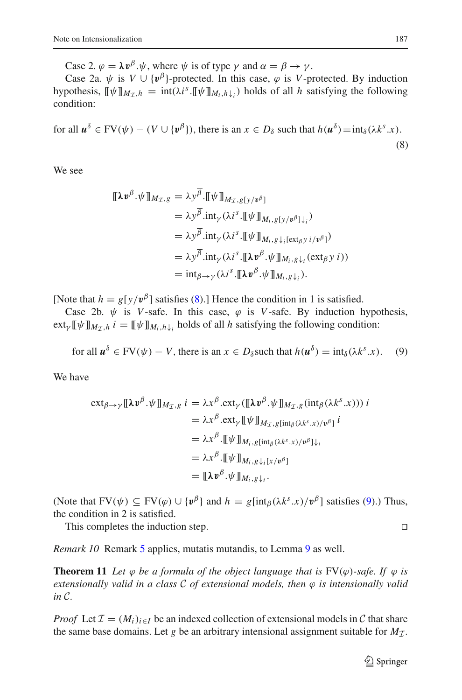Case 2.  $\varphi = \lambda v^{\beta}$ . $\psi$ , where  $\psi$  is of type  $\gamma$  and  $\alpha = \beta \rightarrow \gamma$ .

Case 2a.  $\psi$  is  $V \cup {\{\psi^{\beta}\}}$ -protected. In this case,  $\varphi$  is *V*-protected. By induction hypothesis,  $[\![\psi]\!]_{M_{\mathcal{I}},h} = \text{int}(\lambda i^s \cdot [\![\psi]\!]_{M_i,h}\!)_i$  holds of all *h* satisfying the following condition:

<span id="page-14-0"></span>for all  $u^{\delta} \in FV(\psi) - (V \cup \{v^{\beta}\}),$  there is an  $x \in D_{\delta}$  such that  $h(u^{\delta}) = \text{int}_{\delta}(\lambda k^{s}.x).$ (8)

We see

$$
\begin{split} [\![\lambda \boldsymbol{v}^{\beta} \cdot \psi \!] \!]_{M_{\mathcal{I}},g} &= \lambda \boldsymbol{y}^{\beta} \cdot [\![\psi \!] \!]_{M_{\mathcal{I}},g[\boldsymbol{y}/\boldsymbol{v}^{\beta}]} \\ &= \lambda \boldsymbol{y}^{\overline{\beta}} \cdot \mathrm{int}_{\gamma} (\lambda i^{s} \cdot [\![\psi \!] \!]_{M_{i},g[\boldsymbol{y}/\boldsymbol{v}^{\beta}] \downarrow_{i}}) \\ &= \lambda \boldsymbol{y}^{\overline{\beta}} \cdot \mathrm{int}_{\gamma} (\lambda i^{s} \cdot [\![\psi \!] \!]_{M_{i},g\downarrow_{i}[\text{ext}_{\beta} \boldsymbol{y} \ i/\boldsymbol{v}^{\beta}]}) \\ &= \lambda \boldsymbol{y}^{\overline{\beta}} \cdot \mathrm{int}_{\gamma} (\lambda i^{s} \cdot [\![\lambda \boldsymbol{v}^{\beta} \cdot \psi \!] \!]_{M_{i},g\downarrow_{i}}(\text{ext}_{\beta} \boldsymbol{y} \ i)) \\ &= \mathrm{int}_{\beta \to \gamma} (\lambda i^{s} \cdot [\![\lambda \boldsymbol{v}^{\beta} \cdot \psi \!] \!]_{M_{i},g\downarrow_{i}}). \end{split}
$$

[Note that  $h = g[y/v^{\beta}]$  satisfies [\(8\)](#page-14-0).] Hence the condition in 1 is satisfied.

Case 2b.  $\psi$  is *V*-safe. In this case,  $\varphi$  is *V*-safe. By induction hypothesis,  $ext_{\gamma} [\![\psi]\!]_{M_{\tau},h}$  *i* =  $[\![\psi]\!]_{M_i,h}\}$  holds of all *h* satisfying the following condition:

for all 
$$
\mathbf{u}^{\delta} \in \text{FV}(\psi) - V
$$
, there is an  $x \in D_{\delta}$  such that  $h(\mathbf{u}^{\delta}) = \text{int}_{\delta}(\lambda k^{s}.x)$ . (9)

<span id="page-14-1"></span>We have

$$
\operatorname{ext}_{\beta \to \gamma} [\![\lambda v^{\beta}.\psi]\!]_{M_{\mathcal{I}},g} i = \lambda x^{\beta}.\operatorname{ext}_{\gamma}([\![\lambda v^{\beta}.\psi]\!]_{M_{\mathcal{I}},g}(\operatorname{int}_{\beta}(\lambda k^{s}.x))) i \n= \lambda x^{\beta}.\operatorname{ext}_{\gamma} [\![\psi]\!]_{M_{\mathcal{I}},g[\operatorname{int}_{\beta}(\lambda k^{s}.x)/v^{\beta}] i} \n= \lambda x^{\beta}.\llbracket \psi \rrbracket_{M_{i},g[\operatorname{int}_{\beta}(\lambda k^{s}.x)/v^{\beta}] \downarrow i} \n= \lambda x^{\beta}.\llbracket \psi \rrbracket_{M_{i},g\downarrow_{i}[x/v^{\beta}]} \n= [\![\lambda v^{\beta}.\psi]\!]_{M_{i},g\downarrow_{i}}.
$$

(Note that  $FV(\psi) \subseteq FV(\varphi) \cup \{v^{\beta}\}\$  and  $h = g[\text{int}_{\beta}(\lambda k^{s}.x)/v^{\beta}]$  satisfies [\(9\)](#page-14-1).) Thus, the condition in 2 is satisfied.

This completes the induction step.

*Remark 10* Remark [5](#page-9-0) applies, mutatis mutandis, to Lemma [9](#page-12-2) as well.

<span id="page-14-2"></span>**Theorem 11** Let  $\varphi$  be a formula of the object language that is  $FV(\varphi)$ -safe. If  $\varphi$  is *extensionally valid in a class C of extensional models, then* ϕ *is intensionally valid in C.*

*Proof* Let  $\mathcal{I} = (M_i)_{i \in I}$  be an indexed collection of extensional models in  $\mathcal{C}$  that share the same base domains. Let *g* be an arbitrary intensional assignment suitable for  $M<sub>T</sub>$ .

$$
\Box
$$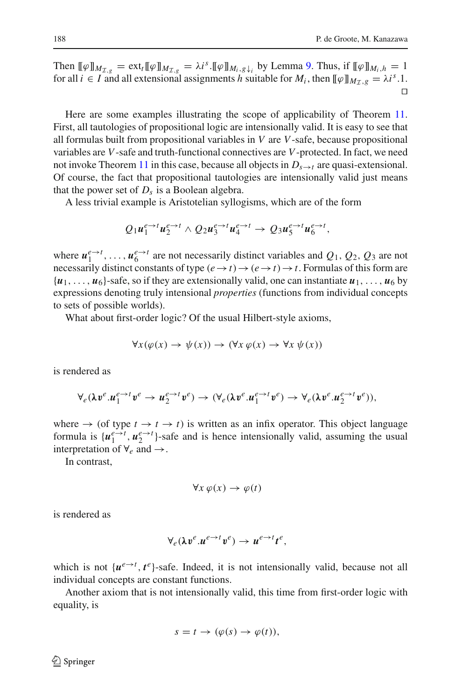Then  $[\![\varphi]\!]_{M_{\mathcal{I},g}} = \text{ext}_{t}[\![\varphi]\!]_{M_{\mathcal{I},g}} = \lambda i^s \cdot [\![\varphi]\!]_{M_i,g_{\mathcal{J}_i}}$  by Lemma [9.](#page-12-2) Thus, if  $[\![\varphi]\!]_{M_i,h} = 1$ for all  $i \in I$  and all extensional assignments *h* suitable for  $M_i$ , then  $[\![\varphi]\!]_{M_{\tau},g} = \lambda i^s.1$ .  $\Box$ 

Here are some examples illustrating the scope of applicability of Theorem [11.](#page-14-2) First, all tautologies of propositional logic are intensionally valid. It is easy to see that all formulas built from propositional variables in *V* are *V*-safe, because propositional variables are *V*-safe and truth-functional connectives are *V*-protected. In fact, we need not invoke Theorem [11](#page-14-2) in this case, because all objects in  $D_{s\to t}$  are quasi-extensional. Of course, the fact that propositional tautologies are intensionally valid just means that the power set of  $D_s$  is a Boolean algebra.

A less trivial example is Aristotelian syllogisms, which are of the form

$$
Q_1u_1^{e\to t}u_2^{e\to t}\wedge Q_2u_3^{e\to t}u_4^{e\to t}\to Q_3u_5^{e\to t}u_6^{e\to t},
$$

where  $u_1^{e\to t}$ , ...,  $u_6^{e\to t}$  are not necessarily distinct variables and  $Q_1$ ,  $Q_2$ ,  $Q_3$  are not necessarily distinct constants of type  $(e \to t) \to (e \to t) \to t$ . Formulas of this form are  $\{u_1, \ldots, u_6\}$ -safe, so if they are extensionally valid, one can instantiate  $u_1, \ldots, u_6$  by expressions denoting truly intensional *properties* (functions from individual concepts to sets of possible worlds).

What about first-order logic? Of the usual Hilbert-style axioms,

$$
\forall x (\varphi(x) \to \psi(x)) \to (\forall x \varphi(x) \to \forall x \psi(x))
$$

is rendered as

$$
\forall_e(\lambda v^e.u_1^{e\rightarrow t}v^e\rightarrow u_2^{e\rightarrow t}v^e)\rightarrow(\forall_e(\lambda v^e.u_1^{e\rightarrow t}v^e)\rightarrow\forall_e(\lambda v^e.u_2^{e\rightarrow t}v^e)),
$$

where  $\rightarrow$  (of type  $t \rightarrow t \rightarrow t$ ) is written as an infix operator. This object language formula is  $\{u_1^{e\rightarrow t}, u_2^{e\rightarrow t}\}$ -safe and is hence intensionally valid, assuming the usual interpretation of  $\forall_e$  and  $\rightarrow$ .

In contrast,

$$
\forall x \, \varphi(x) \to \varphi(t)
$$

is rendered as

$$
\forall_e(\lambda v^e.u^{e\rightarrow t}v^e)\rightarrow u^{e\rightarrow t}t^e,
$$

which is not  $\{u^{e\rightarrow t}, t^e\}$ -safe. Indeed, it is not intensionally valid, because not all individual concepts are constant functions.

Another axiom that is not intensionally valid, this time from first-order logic with equality, is

$$
s = t \to (\varphi(s) \to \varphi(t)),
$$

≰ Springer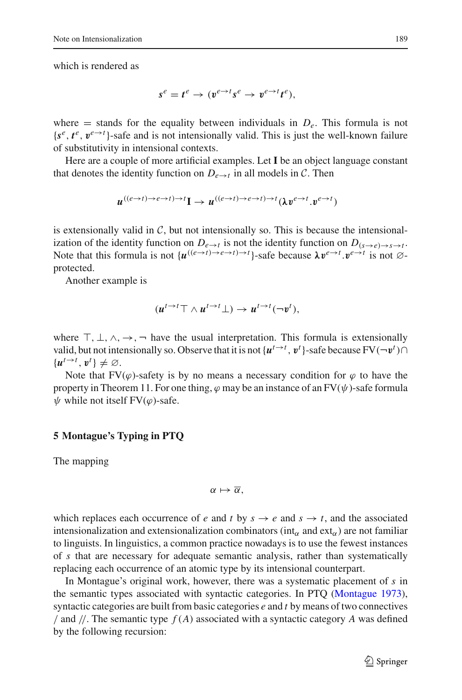which is rendered as

$$
s^e = t^e \to (v^{e \to t} s^e \to v^{e \to t} t^e),
$$

where  $=$  stands for the equality between individuals in  $D_e$ . This formula is not  ${s<sup>e</sup>, t<sup>e</sup>, v<sup>e \to t</sup>}$ -safe and is not intensionally valid. This is just the well-known failure of substitutivity in intensional contexts.

Here are a couple of more artificial examples. Let **I** be an object language constant that denotes the identity function on  $D_{e\rightarrow t}$  in all models in *C*. Then

$$
u^{((e \to t) \to e \to t) \to t} \mathbf{I} \to u^{((e \to t) \to e \to t) \to t} (\lambda v^{e \to t}, v^{e \to t})
$$

is extensionally valid in  $C$ , but not intensionally so. This is because the intensionalization of the identity function on  $D_{e\to t}$  is not the identity function on  $D_{(s\to e)\to s\to t}$ . Note that this formula is not  $\{u^{((e \to t) \to e \to t) \to t}\}$ -safe because  $\lambda v^{e \to t}$ .  $v^{e \to t}$  is not  $\emptyset$ protected.

Another example is

$$
(u^{t\to t}\top \wedge u^{t\to t}\bot) \to u^{t\to t}(\neg v^t),
$$

where  $\top$ ,  $\bot$ ,  $\land$ ,  $\rightarrow$ ,  $\neg$  have the usual interpretation. This formula is extensionally valid, but not intensionally so. Observe that it is not  $\{u^{t\to t}, v^t\}$ -safe because  $FV(-v^t)$  $\{u^{t\rightarrow t}, v^t\}\neq \emptyset.$ 

Note that  $FV(\varphi)$ -safety is by no means a necessary condition for  $\varphi$  to have the property in Theorem 11. For one thing,  $\varphi$  may be an instance of an FV( $\psi$ )-safe formula  $\psi$  while not itself FV( $\varphi$ )-safe.

#### <span id="page-16-0"></span>**5 Montague's Typing in PTQ**

The mapping

$$
\alpha\mapsto\overline{\alpha},
$$

which replaces each occurrence of *e* and *t* by  $s \to e$  and  $s \to t$ , and the associated intensionalization and extensionalization combinators (int<sub>α</sub> and ext<sub>α</sub>) are not familiar to linguists. In linguistics, a common practice nowadays is to use the fewest instances of *s* that are necessary for adequate semantic analysis, rather than systematically replacing each occurrence of an atomic type by its intensional counterpart.

In Montague's original work, however, there was a systematic placement of *s* in the semantic types associated with syntactic categories. In PTQ [\(Montague 1973](#page-21-1)), syntactic categories are built from basic categories *e* and *t* by means of two connectives / and //. The semantic type *f* (*A*) associated with a syntactic category *A* was defined by the following recursion: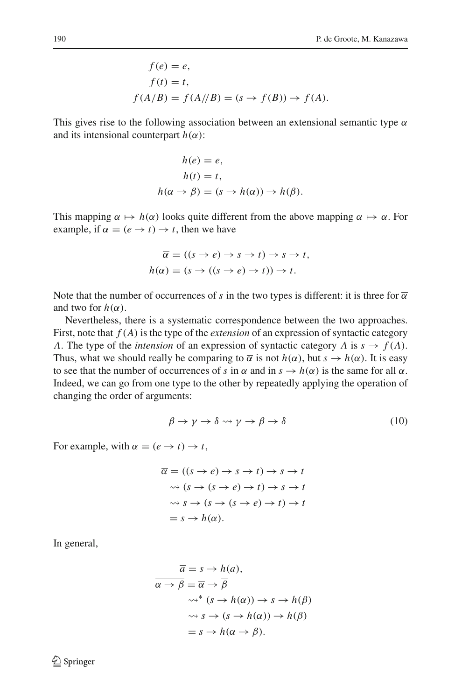$$
f(e) = e,
$$
  
\n
$$
f(t) = t,
$$
  
\n
$$
f(A/B) = f(A//B) = (s \rightarrow f(B)) \rightarrow f(A).
$$

This gives rise to the following association between an extensional semantic type  $\alpha$ and its intensional counterpart  $h(\alpha)$ :

$$
h(e) = e,
$$
  
\n
$$
h(t) = t,
$$
  
\n
$$
h(\alpha \to \beta) = (s \to h(\alpha)) \to h(\beta).
$$

This mapping  $\alpha \mapsto h(\alpha)$  looks quite different from the above mapping  $\alpha \mapsto \overline{\alpha}$ . For example, if  $\alpha = (e \rightarrow t) \rightarrow t$ , then we have

$$
\overline{\alpha} = ((s \to e) \to s \to t) \to s \to t,
$$
  

$$
h(\alpha) = (s \to ((s \to e) \to t)) \to t.
$$

Note that the number of occurrences of *s* in the two types is different: it is three for  $\overline{\alpha}$ and two for  $h(\alpha)$ .

Nevertheless, there is a systematic correspondence between the two approaches. First, note that *f* (*A*) is the type of the *extension* of an expression of syntactic category *A*. The type of the *intension* of an expression of syntactic category *A* is  $s \rightarrow f(A)$ . Thus, what we should really be comparing to  $\overline{\alpha}$  is not  $h(\alpha)$ , but  $s \to h(\alpha)$ . It is easy to see that the number of occurrences of *s* in  $\overline{\alpha}$  and in  $s \to h(\alpha)$  is the same for all  $\alpha$ . Indeed, we can go from one type to the other by repeatedly applying the operation of changing the order of arguments:

$$
\beta \to \gamma \to \delta \leadsto \gamma \to \beta \to \delta \tag{10}
$$

<span id="page-17-0"></span>For example, with  $\alpha = (e \rightarrow t) \rightarrow t$ ,

$$
\overline{\alpha} = ((s \to e) \to s \to t) \to s \to t
$$
  
\n
$$
\sim (s \to (s \to e) \to t) \to s \to t
$$
  
\n
$$
\sim s \to (s \to (s \to e) \to t) \to t
$$
  
\n
$$
= s \to h(\alpha).
$$

In general,

$$
\overline{a} = s \rightarrow h(a),
$$
  
\n
$$
\overline{\alpha \rightarrow \beta} = \overline{\alpha} \rightarrow \overline{\beta}
$$
  
\n
$$
\sim^* (s \rightarrow h(\alpha)) \rightarrow s \rightarrow h(\beta)
$$
  
\n
$$
\sim s \rightarrow (s \rightarrow h(\alpha)) \rightarrow h(\beta)
$$
  
\n
$$
= s \rightarrow h(\alpha \rightarrow \beta).
$$

 $\bigcircled{2}$  Springer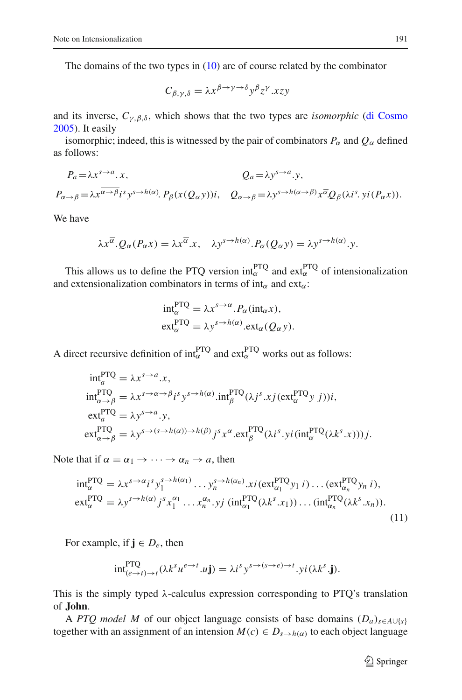The domains of the two types in  $(10)$  are of course related by the combinator

$$
C_{\beta,\gamma,\delta} = \lambda x^{\beta \to \gamma \to \delta} y^{\beta} z^{\gamma} . x z y
$$

and its inverse,  $C_{\gamma,\beta,\delta}$ , which shows that the two types are *isomorphic* [\(di Cosmo](#page-21-6) [2005\)](#page-21-6). It easily

isomorphic; indeed, this is witnessed by the pair of combinators  $P_\alpha$  and  $Q_\alpha$  defined as follows:

$$
P_a = \lambda x^{s \to a} \cdot x, \qquad Q_a = \lambda y^{s \to a} \cdot y, P_{\alpha \to \beta} = \lambda x^{\overline{\alpha \to \beta}} i^s y^{s \to h(\alpha)} \cdot P_\beta(x(Q_\alpha y)) i, \quad Q_{\alpha \to \beta} = \lambda y^{s \to h(\alpha \to \beta)} x^{\overline{\alpha}} Q_\beta(\lambda i^s, yi(P_\alpha x)).
$$

We have

$$
\lambda x^{\overline{\alpha}}. Q_{\alpha}(P_{\alpha}x) = \lambda x^{\overline{\alpha}}.x, \quad \lambda y^{s \to h(\alpha)}. P_{\alpha}(Q_{\alpha}y) = \lambda y^{s \to h(\alpha)}.y.
$$

This allows us to define the PTQ version  $int_{\alpha}^{PTQ}$  and  $ext{ext}_{\alpha}^{PTQ}$  of intensionalization and extensionalization combinators in terms of  $int_{\alpha}$  and ext<sub> $\alpha$ </sub>:

$$
\begin{aligned} \n\int_{\alpha}^{PTQ} &= \lambda x^{s \to \alpha} . P_{\alpha}(\text{int}_{\alpha} x), \\ \n\text{ext}_{\alpha}^{PTQ} &= \lambda y^{s \to h(\alpha)} . \n\text{ext}_{\alpha} (Q_{\alpha} y). \n\end{aligned}
$$

A direct recursive definition of int $_{\alpha}^{PTQ}$  and ext $_{\alpha}^{PTQ}$  works out as follows:

$$
\begin{aligned}\n\inf_{a}^{\text{PTQ}} &= \lambda x^{s \to a} .x, \\
\inf_{\alpha \to \beta}^{\text{PTQ}} &= \lambda x^{s \to \alpha \to \beta} i^s y^{s \to h(\alpha)} .\n\inf_{\beta}^{\text{PTQ}} (\lambda j^s .x j (\text{ext}_{\alpha}^{\text{PTQ}} y j)) i, \\
\text{ext}_{a}^{\text{PTQ}} &= \lambda y^{s \to a} .y, \\
\text{ext}_{\alpha \to \beta}^{\text{PTQ}} &= \lambda y^{s \to (s \to h(\alpha)) \to h(\beta)} j^s x^{\alpha} .\n\text{ext}_{\beta}^{\text{PTQ}} (\lambda i^s .y i (\text{int}_{\alpha}^{\text{PTQ}} (\lambda k^s .x)) ) j.\n\end{aligned}
$$

<span id="page-18-0"></span>Note that if  $\alpha = \alpha_1 \rightarrow \cdots \rightarrow \alpha_n \rightarrow a$ , then

$$
\int_{\alpha}^{\text{PTQ}} \mathbf{Q} = \lambda x^{s \to \alpha} i^s y_1^{s \to h(\alpha_1)} \dots y_n^{s \to h(\alpha_n)} x_i (\text{ext}_{\alpha_1}^{\text{PTQ}} y_1 i) \dots (\text{ext}_{\alpha_n}^{\text{PTQ}} y_n i),
$$
\n
$$
\text{ext}_{\alpha}^{\text{PTQ}} = \lambda y^{s \to h(\alpha)} j^s x_1^{\alpha_1} \dots x_n^{\alpha_n} . y_j (\text{int}_{\alpha_1}^{\text{PTQ}} (\lambda k^s . x_1)) \dots (\text{int}_{\alpha_n}^{\text{PTQ}} (\lambda k^s . x_n)).
$$
\n(11)

For example, if  $j \in D_e$ , then

$$
\mathrm{int}_{(e \to t) \to t}^{\mathrm{PTQ}} (\lambda k^s u^{e \to t} . u \mathbf{j}) = \lambda i^s y^{s \to (s \to e) \to t} . yi (\lambda k^s . \mathbf{j}).
$$

This is the simply typed  $\lambda$ -calculus expression corresponding to PTQ's translation of **John**.

A *PTQ* model M of our object language consists of base domains  $(D_a)_{s \in A \cup \{s\}}$ together with an assignment of an intension  $M(c) \in D_{s \to h(\alpha)}$  to each object language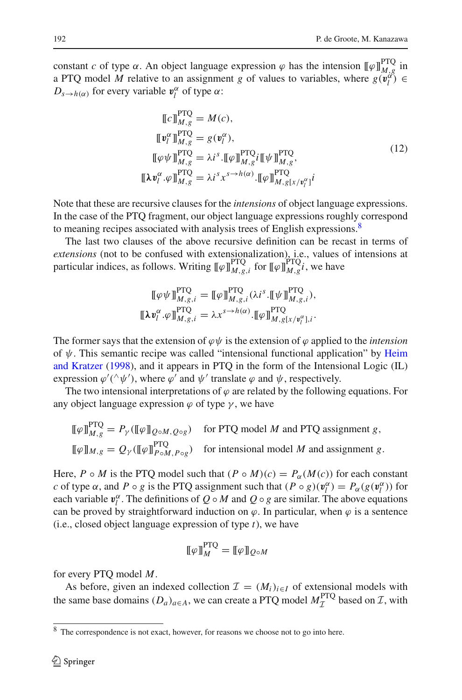constant *c* of type  $\alpha$ . An object language expression  $\varphi$  has the intension  $[\![\varphi]\!]_{M,g}^{\text{PTQ}}$  in a PTQ model *M* relative to an assignment *g* of values to variables, where  $g(\mathbf{v}_l^d) \in$  $D_{s \to h(\alpha)}$  for every variable  $v_l^{\alpha}$  of type  $\alpha$ :

$$
\begin{aligned}\n\llbracket c \rrbracket_{M,g}^{\text{PTQ}} &= M(c), \\
\llbracket \mathbf{v}_l^{\alpha} \rrbracket_{M,g}^{\text{PTQ}} &= g(\mathbf{v}_l^{\alpha}), \\
\llbracket \varphi \psi \rrbracket_{M,g}^{\text{PTQ}} &= \lambda i^s. \llbracket \varphi \rrbracket_{M,g}^{\text{PTQ}} i \llbracket \psi \rrbracket_{M,g}^{\text{PTQ}}, \\
\llbracket \lambda \mathbf{v}_l^{\alpha} . \varphi \rrbracket_{M,g}^{\text{PTQ}} &= \lambda i^s x^{s \to h(\alpha)}. \llbracket \varphi \rrbracket_{M,g}^{\text{PTQ}} i^s \vee \mathbf{v}_l^{\alpha} i^t\n\end{aligned} \tag{12}
$$

<span id="page-19-1"></span>Note that these are recursive clauses for the *intensions* of object language expressions. In the case of the PTQ fragment, our object language expressions roughly correspond to meaning recipes associated with analysis trees of English expressions.<sup>8</sup>

The last two clauses of the above recursive definition can be recast in terms of *extensions* (not to be confused with extensionalization), i.e., values of intensions at particular indices, as follows. Writing  $[\![\varphi]\!]_{M,g,i}^{\text{PTQ}}$  for  $[\![\varphi]\!]_{M,g}^{\text{PTQ}}i$ , we have

$$
\llbracket \varphi \psi \rrbracket_{M,g,i}^{\text{PTQ}} = \llbracket \varphi \rrbracket_{M,g,i}^{\text{PTQ}} (\lambda i^s \cdot \llbracket \psi \rrbracket_{M,g,i}^{\text{PTQ}}),
$$
  

$$
\llbracket \lambda \mathbf{v}_l^{\alpha} \cdot \varphi \rrbracket_{M,g,i}^{\text{PTQ}} = \lambda x^{s \to h(\alpha)} \cdot \llbracket \varphi \rrbracket_{M,g[x/v_l^{\alpha}],i}^{\text{PTQ}}.
$$

The former says that the extension of  $\varphi \psi$  is the extension of  $\varphi$  applied to the *intension* of  $\psi$ . This [semantic](#page-21-7) [recipe](#page-21-7) [was](#page-21-7) [called](#page-21-7) ["intensional](#page-21-7) [functional](#page-21-7) [application"](#page-21-7) [by](#page-21-7) Heim and Kratzer [\(1998](#page-21-7)), and it appears in PTQ in the form of the Intensional Logic (IL) expression  $\varphi'(\hat{\varphi}\psi')$ , where  $\varphi'$  and  $\psi'$  translate  $\varphi$  and  $\psi$ , respectively.

The two intensional interpretations of  $\varphi$  are related by the following equations. For any object language expression  $\varphi$  of type  $\gamma$ , we have

$$
\llbracket \varphi \rrbracket_{M,g}^{\text{PTQ}} = P_{\gamma}(\llbracket \varphi \rrbracket_{Q \circ M, Q \circ g}) \quad \text{for PTQ model } M \text{ and PTQ assignment } g,
$$
  

$$
\llbracket \varphi \rrbracket_{M,g} = Q_{\gamma}(\llbracket \varphi \rrbracket_{P \circ M, P \circ g}^{\text{PTQ}}) \quad \text{for internal model } M \text{ and assignment } g.
$$

Here, *P* ◦ *M* is the PTQ model such that  $(P \circ M)(c) = P_{\alpha}(M(c))$  for each constant *c* of type  $\alpha$ , and  $P \circ g$  is the PTQ assignment such that  $(P \circ g)(v_l^{\alpha}) = P_{\alpha}(g(v_l^{\alpha}))$  for each variable  $v_l^{\alpha}$ . The definitions of  $Q \circ M$  and  $Q \circ g$  are similar. The above equations can be proved by straightforward induction on  $\varphi$ . In particular, when  $\varphi$  is a sentence (i.e., closed object language expression of type *t*), we have

$$
\llbracket \varphi \rrbracket_M^{\text{PTQ}} = \llbracket \varphi \rrbracket_{Q \circ M}
$$

for every PTQ model *M*.

As before, given an indexed collection  $\mathcal{I} = (M_i)_{i \in I}$  of extensional models with the same base domains  $(D_a)_{a \in A}$ , we can create a PTQ model  $M_{\mathcal{I}}^{\text{PTQ}}$  based on  $\mathcal{I}$ , with

<span id="page-19-0"></span><sup>8</sup> The correspondence is not exact, however, for reasons we choose not to go into here.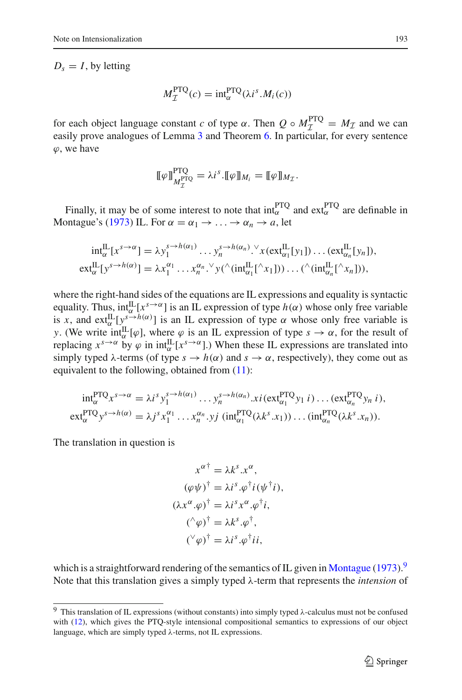$D_s = I$ , by letting

$$
M_{\mathcal{I}}^{\text{PTQ}}(c) = \text{int}_{\alpha}^{\text{PTQ}}(\lambda i^s.M_i(c))
$$

for each object language constant *c* of type  $\alpha$ . Then  $Q \circ M_T^{\text{PTQ}} = M_{\mathcal{I}}$  and we can assilv prove analogues of Lamma 3 and Theorem 6. In pertanting for every contened easily prove analogues of Lemma [3](#page-8-0) and Theorem [6.](#page-10-3) In particular, for every sentence  $\varphi$ , we have

$$
\llbracket \varphi \rrbracket_{M_{\mathcal{I}}^{\text{PTQ}}}^{\text{PTQ}} = \lambda i^{s} \cdot \llbracket \varphi \rrbracket_{M_{i}} = \llbracket \varphi \rrbracket_{M_{\mathcal{I}}}.
$$

Finally, it may be of some interest to note that  $int_{\alpha}^{PTQ}$  and  $ext{ext}_{\alpha}^{PTQ}$  are definable in Montague's [\(1973\)](#page-21-1) IL. For  $\alpha = \alpha_1 \rightarrow \ldots \rightarrow \alpha_n \rightarrow a$ , let

$$
\begin{aligned}\n\int_{\alpha}^{\Pi} [x^{s\to\alpha}] &= \lambda y_1^{s\to h(\alpha_1)} \dots y_n^{s\to h(\alpha_n)} \cdot x(\text{ext}_{\alpha_1}^{\Pi}[y_1]) \dots (\text{ext}_{\alpha_n}^{\Pi}[y_n]), \\
\text{ext}_{\alpha}^{\Pi}[y^{s\to h(\alpha)}] &= \lambda x_1^{\alpha_1} \dots x_n^{\alpha_n} \cdot y(\wedge (\text{int}_{\alpha_1}^{\Pi} [\wedge_{x_1}])) \dots (\wedge (\text{int}_{\alpha_n}^{\Pi} [\wedge_{x_n}]))\n\end{aligned}
$$

where the right-hand sides of the equations are IL expressions and equality is syntactic equality. Thus,  $int_{\alpha}^{II} [x^{s\rightarrow\alpha}]$  is an IL expression of type  $h(\alpha)$  whose only free variable is *x*, and  $ext_{\alpha}^{\text{IL}}[y^{\text{s}\rightarrow h(\alpha)}]$  is an IL expression of type  $\alpha$  whose only free variable is *y*. (We write  $int_{\alpha}^{IL}[\varphi]$ , where  $\varphi$  is an IL expression of type  $s \to \alpha$ , for the result of replacing  $x^{s\to\alpha}$  by  $\varphi$  in  $int_{\alpha}^{\Pi}[x^{s\to\alpha}]$ .) When these IL expressions are translated into simply typed  $\lambda$ -terms (of type  $s \to h(\alpha)$  and  $s \to \alpha$ , respectively), they come out as equivalent to the following, obtained from [\(11\)](#page-18-0):

$$
\begin{aligned}\n\int_{\alpha}^{p} \mathrm{Tr}^{q} x^{s \to \alpha} &= \lambda i^{s} y_{1}^{s \to h(\alpha_{1})} \dots y_{n}^{s \to h(\alpha_{n})} .\n\end{aligned}
$$
\n
$$
\begin{aligned}\n\mathrm{Ext}^{p}(\alpha_{1}) &= \lambda i^{s} y_{1}^{\alpha_{1}} \dots y_{n}^{s \to h(\alpha_{n})} .\n\end{aligned}
$$
\n
$$
\begin{aligned}\n\mathrm{Ext}^{p}(\alpha_{1}) &= \lambda j^{s} x_{1}^{\alpha_{1}} \dots x_{n}^{\alpha_{n}} .\n\end{aligned}
$$
\n
$$
\begin{aligned}\n\mathrm{Ext}^{p}(\alpha_{\alpha_{1}}) &= \lambda j^{s} x_{1}^{\alpha_{1}} \dots x_{n}^{\alpha_{n}} .\n\end{aligned}
$$
\n
$$
\begin{aligned}\n\mathrm{Ext}^{p}(\alpha_{\alpha_{1}}) &= \lambda j^{s} x_{1}^{\alpha_{1}} \dots x_{n}^{\alpha_{n}} .\n\end{aligned}
$$

The translation in question is

$$
x^{\alpha \dagger} = \lambda k^{s}.x^{\alpha},
$$
  
\n
$$
(\varphi \psi)^{\dagger} = \lambda i^{s}. \varphi^{\dagger} i(\psi^{\dagger} i),
$$
  
\n
$$
(\lambda x^{\alpha}. \varphi)^{\dagger} = \lambda i^{s} x^{\alpha}. \varphi^{\dagger} i,
$$
  
\n
$$
(\uparrow \varphi)^{\dagger} = \lambda k^{s}. \varphi^{\dagger},
$$
  
\n
$$
(\vee \varphi)^{\dagger} = \lambda i^{s}. \varphi^{\dagger} i i,
$$

which is a straightforward rendering of the semantics of IL given in [Montague](#page-21-1) [\(1973\)](#page-21-1).<sup>[9](#page-20-0)</sup> Note that this translation gives a simply typed λ-term that represents the *intension* of

<span id="page-20-0"></span><sup>9</sup> This translation of IL expressions (without constants) into simply typed λ-calculus must not be confused with [\(12\)](#page-19-1), which gives the PTQ-style intensional compositional semantics to expressions of our object language, which are simply typed λ-terms, not IL expressions.